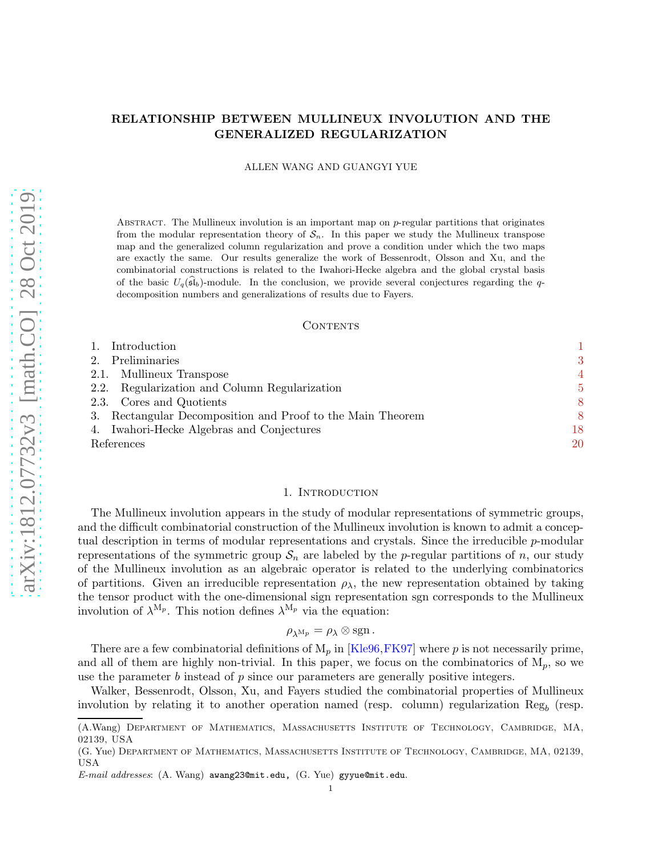# RELATIONSHIP BETWEEN MULLINEUX INVOLUTION AND THE GENERALIZED REGULARIZATION

### ALLEN WANG AND GUANGYI YUE

ABSTRACT. The Mullineux involution is an important map on  $p$ -regular partitions that originates from the modular representation theory of  $S_n$ . In this paper we study the Mullineux transpose map and the generalized column regularization and prove a condition under which the two maps are exactly the same. Our results generalize the work of Bessenrodt, Olsson and Xu, and the combinatorial constructions is related to the Iwahori-Hecke algebra and the global crystal basis of the basic  $U_q(\mathfrak{sl}_b)$ -module. In the conclusion, we provide several conjectures regarding the qdecomposition numbers and generalizations of results due to Fayers.

### **CONTENTS**

| Introduction                                               |    |
|------------------------------------------------------------|----|
| Preliminaries<br>2.                                        | 3  |
| Mullineux Transpose<br>2.1.                                | 4  |
| Regularization and Column Regularization<br>2.2.           | 5  |
| 2.3. Cores and Quotients                                   | 8  |
| 3. Rectangular Decomposition and Proof to the Main Theorem | 8  |
| 4. Iwahori-Hecke Algebras and Conjectures                  | 18 |
| References                                                 | 20 |

### 1. INTRODUCTION

<span id="page-0-0"></span>The Mullineux involution appears in the study of modular representations of symmetric groups, and the difficult combinatorial construction of the Mullineux involution is known to admit a conceptual description in terms of modular representations and crystals. Since the irreducible p-modular representations of the symmetric group  $S_n$  are labeled by the p-regular partitions of n, our study of the Mullineux involution as an algebraic operator is related to the underlying combinatorics of partitions. Given an irreducible representation  $\rho_{\lambda}$ , the new representation obtained by taking the tensor product with the one-dimensional sign representation sgn corresponds to the Mullineux involution of  $\lambda^{M_p}$ . This notion defines  $\lambda^{M_p}$  via the equation:

# $\rho_{\lambda^{\mathrm{M}}p} = \rho_{\lambda} \otimes \mathrm{sgn}$ .

There are a few combinatorial definitions of  $M_p$  in [\[Kle96,](#page-19-1)[FK97\]](#page-19-2) where p is not necessarily prime, and all of them are highly non-trivial. In this paper, we focus on the combinatorics of  $M_p$ , so we use the parameter  $b$  instead of  $p$  since our parameters are generally positive integers.

Walker, Bessenrodt, Olsson, Xu, and Fayers studied the combinatorial properties of Mullineux involution by relating it to another operation named (resp. column) regularization  $\text{Reg}_b$  (resp.

<sup>(</sup>A.Wang) Department of Mathematics, Massachusetts Institute of Technology, Cambridge, MA, 02139, USA

<sup>(</sup>G. Yue) Department of Mathematics, Massachusetts Institute of Technology, Cambridge, MA, 02139, USA

E-mail addresses: (A. Wang) awang23@mit.edu, (G. Yue) gyyue@mit.edu.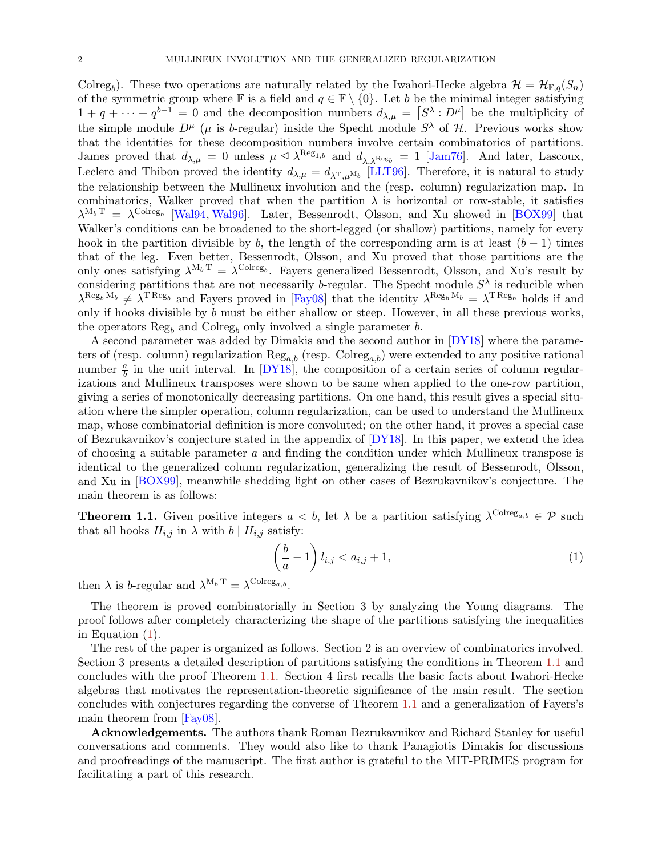Colreg<sub>b</sub>). These two operations are naturally related by the Iwahori-Hecke algebra  $\mathcal{H} = \mathcal{H}_{F,q}(S_n)$ of the symmetric group where  $\mathbb F$  is a field and  $q \in \mathbb F \setminus \{0\}$ . Let b be the minimal integer satisfying  $1 + q + \cdots + q^{b-1} = 0$  and the decomposition numbers  $d_{\lambda,\mu} = [S^{\lambda} : D^{\mu}]$  be the multiplicity of the simple module  $D^{\mu}$  ( $\mu$  is b-regular) inside the Specht module  $S^{\lambda}$  of H. Previous works show that the identities for these decomposition numbers involve certain combinatorics of partitions. James proved that  $d_{\lambda,\mu} = 0$  unless  $\mu \leq \lambda^{\text{Reg}_{1,b}}$  and  $d_{\lambda,\lambda^{\text{Reg}_b}} = 1$  [\[Jam76\]](#page-19-3). And later, Lascoux, Leclerc and Thibon proved the identity  $d_{\lambda,\mu} = d_{\lambda^{\rm T},\mu^{\rm M}b}$  [\[LLT96\]](#page-19-4). Therefore, it is natural to study the relationship between the Mullineux involution and the (resp. column) regularization map. In combinatorics, Walker proved that when the partition  $\lambda$  is horizontal or row-stable, it satisfies  $\lambda^{M_b T} = \lambda^{\text{Colreg}_b}$  [\[Wal94,](#page-19-5) [Wal96\]](#page-19-6). Later, Bessenrodt, Olsson, and Xu showed in [\[BOX99\]](#page-19-7) that Walker's conditions can be broadened to the short-legged (or shallow) partitions, namely for every hook in the partition divisible by b, the length of the corresponding arm is at least  $(b-1)$  times that of the leg. Even better, Bessenrodt, Olsson, and Xu proved that those partitions are the only ones satisfying  $\lambda^{M_b T} = \lambda^{Colreg_b}$ . Fayers generalized Bessenrodt, Olsson, and Xu's result by considering partitions that are not necessarily b-regular. The Specht module  $S^{\lambda}$  is reducible when  $\lambda^{\text{Reg}_b M_b} \neq \lambda^{\text{T Reg}_b}$  and Fayers proved in [\[Fay08\]](#page-19-8) that the identity  $\lambda^{\text{Reg}_b M_b} = \lambda^{\text{TReg}_b}$  holds if and only if hooks divisible by  $b$  must be either shallow or steep. However, in all these previous works, the operators  $\text{Reg}_b$  and  $\text{Colreg}_b$  only involved a single parameter b.

A second parameter was added by Dimakis and the second author in [\[DY18\]](#page-19-9) where the parameters of (resp. column) regularization  $\text{Reg}_{a,b}$  (resp.  $\text{Colreg}_{a,b}$ ) were extended to any positive rational number  $\frac{a}{b}$  in the unit interval. In [\[DY18\]](#page-19-9), the composition of a certain series of column regularizations and Mullineux transposes were shown to be same when applied to the one-row partition, giving a series of monotonically decreasing partitions. On one hand, this result gives a special situation where the simpler operation, column regularization, can be used to understand the Mullineux map, whose combinatorial definition is more convoluted; on the other hand, it proves a special case of Bezrukavnikov's conjecture stated in the appendix of [\[DY18\]](#page-19-9). In this paper, we extend the idea of choosing a suitable parameter a and finding the condition under which Mullineux transpose is identical to the generalized column regularization, generalizing the result of Bessenrodt, Olsson, and Xu in [\[BOX99\]](#page-19-7), meanwhile shedding light on other cases of Bezrukavnikov's conjecture. The main theorem is as follows:

<span id="page-1-1"></span>**Theorem 1.1.** Given positive integers  $a < b$ , let  $\lambda$  be a partition satisfying  $\lambda^{\text{Colreg}_{a,b}} \in \mathcal{P}$  such that all hooks  $H_{i,j}$  in  $\lambda$  with  $b \mid H_{i,j}$  satisfy:

<span id="page-1-0"></span>
$$
\left(\frac{b}{a} - 1\right)l_{i,j} < a_{i,j} + 1,\tag{1}
$$

then  $\lambda$  is b-regular and  $\lambda^{M_b T} = \lambda^{\text{Colreg}_{a,b}}$ .

The theorem is proved combinatorially in Section 3 by analyzing the Young diagrams. The proof follows after completely characterizing the shape of the partitions satisfying the inequalities in Equation [\(1\)](#page-1-0).

The rest of the paper is organized as follows. Section 2 is an overview of combinatorics involved. Section 3 presents a detailed description of partitions satisfying the conditions in Theorem [1.1](#page-1-1) and concludes with the proof Theorem [1.1.](#page-1-1) Section 4 first recalls the basic facts about Iwahori-Hecke algebras that motivates the representation-theoretic significance of the main result. The section concludes with conjectures regarding the converse of Theorem [1.1](#page-1-1) and a generalization of Fayers's main theorem from [\[Fay08\]](#page-19-8).

Acknowledgements. The authors thank Roman Bezrukavnikov and Richard Stanley for useful conversations and comments. They would also like to thank Panagiotis Dimakis for discussions and proofreadings of the manuscript. The first author is grateful to the MIT-PRIMES program for facilitating a part of this research.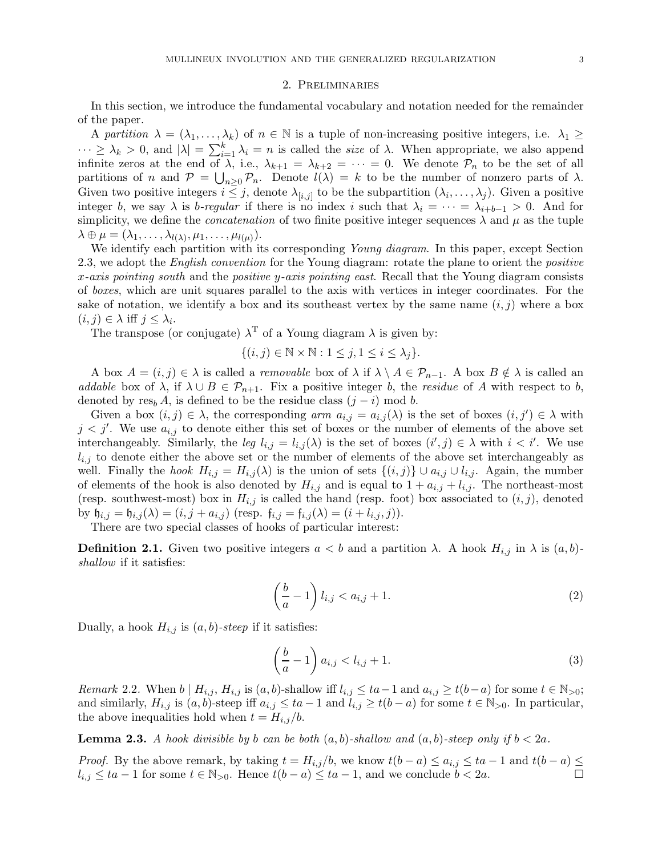#### 2. Preliminaries

<span id="page-2-0"></span>In this section, we introduce the fundamental vocabulary and notation needed for the remainder of the paper.

A *partition*  $\lambda = (\lambda_1, \ldots, \lambda_k)$  of  $n \in \mathbb{N}$  is a tuple of non-increasing positive integers, i.e.  $\lambda_1 \geq$  $\cdots \geq \lambda_k > 0$ , and  $|\lambda| = \sum_{i=1}^k \lambda_i = n$  is called the *size* of  $\lambda$ . When appropriate, we also append infinite zeros at the end of  $\lambda$ , i.e.,  $\lambda_{k+1} = \lambda_{k+2} = \cdots = 0$ . We denote  $\mathcal{P}_n$  to be the set of all partitions of n and  $P = \bigcup_{n\geq 0} P_n$ . Denote  $l(\lambda) = k$  to be the number of nonzero parts of  $\lambda$ . Given two positive integers  $i \leq j$ , denote  $\lambda_{[i,j]}$  to be the subpartition  $(\lambda_i, \ldots, \lambda_j)$ . Given a positive integer b, we say  $\lambda$  is b-regular if there is no index i such that  $\lambda_i = \cdots = \lambda_{i+b-1} > 0$ . And for simplicity, we define the *concatenation* of two finite positive integer sequences  $\lambda$  and  $\mu$  as the tuple  $\lambda \oplus \mu = (\lambda_1, \ldots, \lambda_{l(\lambda)}, \mu_1, \ldots, \mu_{l(\mu)}).$ 

We identify each partition with its corresponding *Young diagram*. In this paper, except Section 2.3, we adopt the *English convention* for the Young diagram: rotate the plane to orient the *positive* x*-axis pointing south* and the *positive* y*-axis pointing east*. Recall that the Young diagram consists of *boxes*, which are unit squares parallel to the axis with vertices in integer coordinates. For the sake of notation, we identify a box and its southeast vertex by the same name  $(i, j)$  where a box  $(i, j) \in \lambda$  iff  $j \leq \lambda_i$ .

The transpose (or conjugate)  $\lambda^T$  of a Young diagram  $\lambda$  is given by:

$$
\{(i,j)\in\mathbb{N}\times\mathbb{N}:1\leq j,1\leq i\leq\lambda_j\}.
$$

A box  $A = (i, j) \in \lambda$  is called a *removable* box of  $\lambda$  if  $\lambda \setminus A \in \mathcal{P}_{n-1}$ . A box  $B \notin \lambda$  is called an *addable* box of  $\lambda$ , if  $\lambda \cup B \in \mathcal{P}_{n+1}$ . Fix a positive integer b, the *residue* of A with respect to b, denoted by res<sub>b</sub> A, is defined to be the residue class  $(j - i)$  mod b.

Given a box  $(i, j) \in \lambda$ , the corresponding *arm*  $a_{i,j} = a_{i,j}(\lambda)$  is the set of boxes  $(i, j') \in \lambda$  with  $j < j'$ . We use  $a_{i,j}$  to denote either this set of boxes or the number of elements of the above set interchangeably. Similarly, the *leg*  $l_{i,j} = l_{i,j}(\lambda)$  is the set of boxes  $(i', j) \in \lambda$  with  $i < i'$ . We use  $l_{i,j}$  to denote either the above set or the number of elements of the above set interchangeably as well. Finally the *hook*  $H_{i,j} = H_{i,j}(\lambda)$  is the union of sets  $\{(i,j)\} \cup a_{i,j} \cup l_{i,j}$ . Again, the number of elements of the hook is also denoted by  $H_{i,j}$  and is equal to  $1 + a_{i,j} + l_{i,j}$ . The northeast-most (resp. southwest-most) box in  $H_{i,j}$  is called the hand (resp. foot) box associated to  $(i, j)$ , denoted by  $\mathfrak{h}_{i,j} = \mathfrak{h}_{i,j}(\lambda) = (i, j + a_{i,j})$  (resp.  $\mathfrak{f}_{i,j} = \mathfrak{f}_{i,j}(\lambda) = (i + l_{i,j}, j)$ ).

There are two special classes of hooks of particular interest:

**Definition 2.1.** Given two positive integers  $a < b$  and a partition  $\lambda$ . A hook  $H_{i,j}$  in  $\lambda$  is  $(a, b)$ *shallow* if it satisfies:

$$
\left(\frac{b}{a} - 1\right)l_{i,j} < a_{i,j} + 1.\tag{2}
$$

Dually, a hook  $H_{i,j}$  is  $(a, b)$ -steep if it satisfies:

$$
\left(\frac{b}{a} - 1\right) a_{i,j} < l_{i,j} + 1. \tag{3}
$$

*Remark* 2.2. When  $b \mid H_{i,j}, H_{i,j}$  is  $(a, b)$ -shallow iff  $l_{i,j} \le ta-1$  and  $a_{i,j} \ge t(b-a)$  for some  $t \in \mathbb{N}_{>0}$ ; and similarly,  $H_{i,j}$  is  $(a, b)$ -steep iff  $a_{i,j} \le ta - 1$  and  $l_{i,j} \ge t(b - a)$  for some  $t \in \mathbb{N}_{>0}$ . In particular, the above inequalities hold when  $t = H_{i,j}/b$ .

<span id="page-2-1"></span>**Lemma 2.3.** *A hook divisible by b can be both*  $(a, b)$ *-shallow and*  $(a, b)$ *-steep only if*  $b < 2a$ *.* 

*Proof.* By the above remark, by taking  $t = H_{i,j}/b$ , we know  $t(b-a) \leq a_{i,j} \leq ta-1$  and  $t(b-a) \leq$  $l_{i,j} \le ta - 1$  for some  $t \in \mathbb{N}_{>0}$ . Hence  $t(b-a) \le ta - 1$ , and we conclude  $b < 2a$ .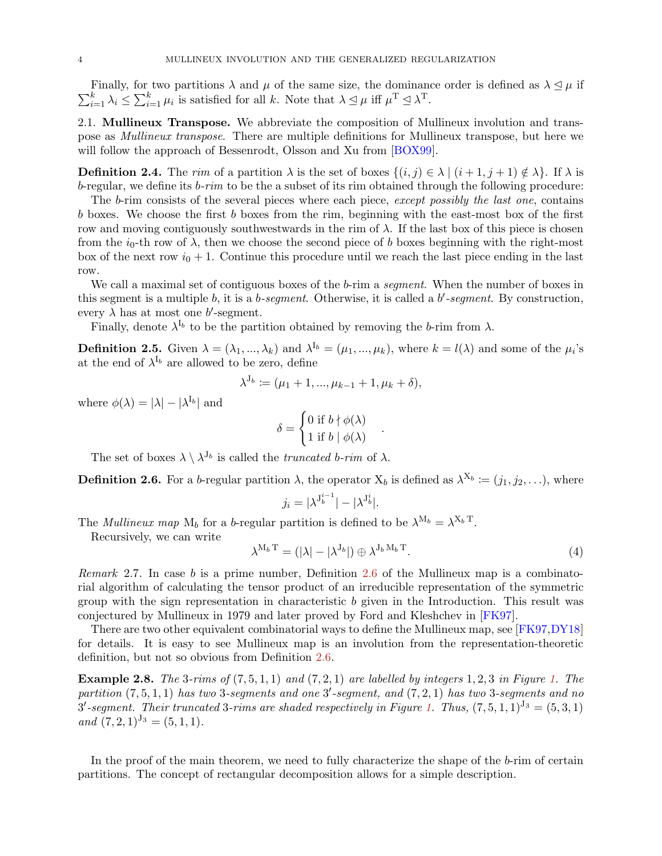$\sum_{i=1}^k \lambda_i \leq \sum_{i=1}^k \mu_i$  is satisfied for all k. Note that  $\lambda \leq \mu$  iff  $\mu^T \leq \lambda^T$ . Finally, for two partitions  $\lambda$  and  $\mu$  of the same size, the dominance order is defined as  $\lambda \leq \mu$  if

<span id="page-3-0"></span>2.1. Mullineux Transpose. We abbreviate the composition of Mullineux involution and transpose as *Mullineux transpose*. There are multiple definitions for Mullineux transpose, but here we will follow the approach of Bessenrodt, Olsson and Xu from [\[BOX99\]](#page-19-7).

**Definition 2.4.** The *rim* of a partition  $\lambda$  is the set of boxes  $\{(i, j) \in \lambda \mid (i + 1, j + 1) \notin \lambda\}$ . If  $\lambda$  is b-regular, we define its b*-rim* to be the a subset of its rim obtained through the following procedure:

The b-rim consists of the several pieces where each piece, *except possibly the last one*, contains b boxes. We choose the first b boxes from the rim, beginning with the east-most box of the first row and moving contiguously southwestwards in the rim of  $\lambda$ . If the last box of this piece is chosen from the  $i_0$ -th row of  $\lambda$ , then we choose the second piece of b boxes beginning with the right-most box of the next row  $i_0 + 1$ . Continue this procedure until we reach the last piece ending in the last row.

We call a maximal set of contiguous boxes of the b-rim a *segment*. When the number of boxes in this segment is a multiple b, it is a b*-segment*. Otherwise, it is called a b ′ *-segment*. By construction, every  $\lambda$  has at most one b'-segment.

Finally, denote  $\lambda^{I_b}$  to be the partition obtained by removing the b-rim from  $\lambda$ .

**Definition 2.5.** Given  $\lambda = (\lambda_1, ..., \lambda_k)$  and  $\lambda^{I_b} = (\mu_1, ..., \mu_k)$ , where  $k = l(\lambda)$  and some of the  $\mu_i$ 's at the end of  $\lambda^{I_b}$  are allowed to be zero, define

$$
\lambda^{J_b} := (\mu_1 + 1, ..., \mu_{k-1} + 1, \mu_k + \delta),
$$

where  $\phi(\lambda) = |\lambda| - |\lambda^{I_b}|$  and

$$
\delta = \begin{cases} 0 \text{ if } b \nmid \phi(\lambda) \\ 1 \text{ if } b \mid \phi(\lambda) \end{cases}
$$

The set of boxes  $\lambda \setminus \lambda^{J_b}$  is called the *truncated* b-rim of  $\lambda$ .

<span id="page-3-1"></span>**Definition 2.6.** For a b-regular partition  $\lambda$ , the operator  $X_b$  is defined as  $\lambda^{X_b} := (j_1, j_2, \ldots)$ , where

$$
j_i = |\lambda^{J_b^{i-1}}| - |\lambda^{J_b^{i}}|.
$$

The *Mullineux map*  $M_b$  for a *b*-regular partition is defined to be  $\lambda^{M_b} = \lambda^{X_b T}$ .

Recursively, we can write

<span id="page-3-3"></span>
$$
\lambda^{M_b \mathrm{T}} = (|\lambda| - |\lambda^{J_b}|) \oplus \lambda^{J_b \mathrm{M}_b \mathrm{T}}.
$$
\n(4)

.

*Remark* 2.7*.* In case b is a prime number, Definition [2.6](#page-3-1) of the Mullineux map is a combinatorial algorithm of calculating the tensor product of an irreducible representation of the symmetric group with the sign representation in characteristic b given in the Introduction. This result was conjectured by Mullineux in 1979 and later proved by Ford and Kleshchev in [\[FK97\]](#page-19-2).

There are two other equivalent combinatorial ways to define the Mullineux map, see [\[FK97,](#page-19-2)[DY18\]](#page-19-9) for details. It is easy to see Mullineux map is an involution from the representation-theoretic definition, but not so obvious from Definition [2.6.](#page-3-1)

Example 2.8. *The* 3*-rims of* (7, 5, 1, 1) *and* (7, 2, 1) *are labelled by integers* 1, 2, 3 *in Figure [1.](#page-4-1) The partition* (7, 5, 1, 1) *has two* 3*-segments and one* 3 ′ *-segment, and* (7, 2, 1) *has two* 3*-segments and no*  $3'$ -segment. Their truncated 3-rims are shaded respectively in Figure [1.](#page-4-1) Thus,  $(7,5,1,1)^{J_3} = (5,3,1)$  $and (7, 2, 1)^{J_3} = (5, 1, 1).$ 

<span id="page-3-2"></span>In the proof of the main theorem, we need to fully characterize the shape of the b-rim of certain partitions. The concept of rectangular decomposition allows for a simple description.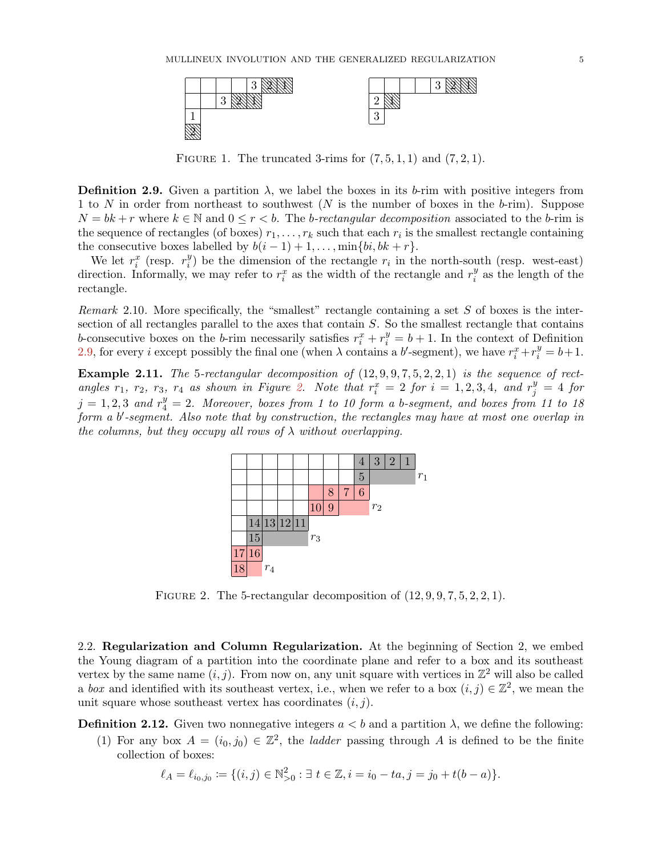<span id="page-4-1"></span>

FIGURE 1. The truncated 3-rims for  $(7, 5, 1, 1)$  and  $(7, 2, 1)$ .

**Definition 2.9.** Given a partition  $\lambda$ , we label the boxes in its b-rim with positive integers from 1 to N in order from northeast to southwest (N is the number of boxes in the b-rim). Suppose  $N = bk + r$  where  $k \in \mathbb{N}$  and  $0 \leq r < b$ . The *b-rectangular decomposition* associated to the *b*-rim is the sequence of rectangles (of boxes)  $r_1, \ldots, r_k$  such that each  $r_i$  is the smallest rectangle containing the consecutive boxes labelled by  $b(i-1)+1,\ldots,\min\{bi,bk+r\}.$ 

We let  $r_i^x$  (resp.  $r_i^y$  $\binom{y}{i}$  be the dimension of the rectangle  $r_i$  in the north-south (resp. west-east) direction. Informally, we may refer to  $r_i^x$  as the width of the rectangle and  $r_i^y$  $\frac{y}{i}$  as the length of the rectangle.

*Remark* 2.10*.* More specifically, the "smallest" rectangle containing a set S of boxes is the intersection of all rectangles parallel to the axes that contain S. So the smallest rectangle that contains b-consecutive boxes on the b-rim necessarily satisfies  $r_i^x + r_i^y = b + 1$ . In the context of Definition [2.9,](#page-3-2) for every *i* except possibly the final one (when  $\lambda$  contains a b'-segment), we have  $r_i^x + r_i^y = b + 1$ .

<span id="page-4-2"></span>Example 2.11. *The* 5-rectangular decomposition of  $(12, 9, 9, 7, 5, 2, 2, 1)$  *is the sequence of rect* $angle\ r_1, r_2, r_3, r_4$  as shown in Figure [2.](#page-4-2) Note that  $r_i^x = 2$  for  $i = 1, 2, 3, 4$ , and  $r_j^y = 4$  for  $j = 1, 2, 3$  and  $r_4^y = 2$ . Moreover, boxes from 1 to 10 form a b-segment, and boxes from 11 to 18 *form a* b ′ *-segment. Also note that by construction, the rectangles may have at most one overlap in the columns, but they occupy all rows of* λ *without overlapping.*



FIGURE 2. The 5-rectangular decomposition of  $(12, 9, 9, 7, 5, 2, 2, 1)$ .

<span id="page-4-0"></span>2.2. Regularization and Column Regularization. At the beginning of Section 2, we embed the Young diagram of a partition into the coordinate plane and refer to a box and its southeast vertex by the same name  $(i, j)$ . From now on, any unit square with vertices in  $\mathbb{Z}^2$  will also be called a *box* and identified with its southeast vertex, i.e., when we refer to a box  $(i, j) \in \mathbb{Z}^2$ , we mean the unit square whose southeast vertex has coordinates  $(i, j)$ .

**Definition 2.12.** Given two nonnegative integers  $a < b$  and a partition  $\lambda$ , we define the following:

(1) For any box  $A = (i_0, j_0) \in \mathbb{Z}^2$ , the *ladder* passing through A is defined to be the finite collection of boxes:

$$
\ell_A = \ell_{i_0, j_0} \coloneqq \{ (i, j) \in \mathbb{N}_{>0}^2 : \exists t \in \mathbb{Z}, i = i_0 - ta, j = j_0 + t(b - a) \}.
$$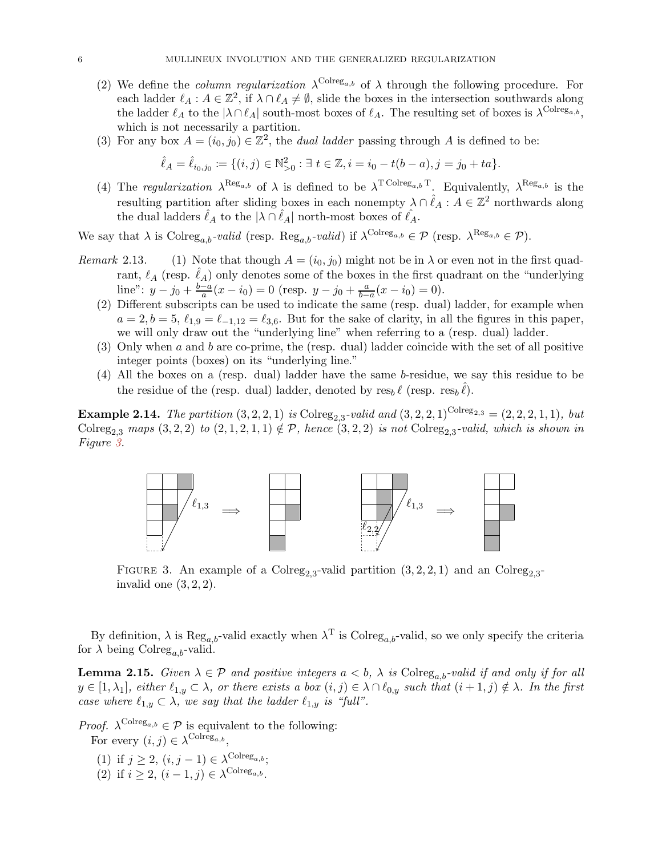- (2) We define the *column regularization*  $\lambda^{\text{Colreg}_{a,b}}$  of  $\lambda$  through the following procedure. For each ladder  $\ell_A : A \in \mathbb{Z}^2$ , if  $\lambda \cap \ell_A \neq \emptyset$ , slide the boxes in the intersection southwards along the ladder  $\ell_A$  to the  $|\lambda \cap \ell_A|$  south-most boxes of  $\ell_A$ . The resulting set of boxes is  $\lambda^{\text{Colreg}_{a,b}}$ , which is not necessarily a partition.
- (3) For any box  $A = (i_0, j_0) \in \mathbb{Z}^2$ , the *dual ladder* passing through A is defined to be:

$$
\hat{\ell}_A = \hat{\ell}_{i_0, j_0} \coloneqq \{ (i, j) \in \mathbb{N}_{>0}^2 : \exists t \in \mathbb{Z}, i = i_0 - t(b - a), j = j_0 + ta \}.
$$

(4) The *regularization*  $\lambda^{\text{Reg}_{a,b}}$  of  $\lambda$  is defined to be  $\lambda^{\text{T} \text{Colreg}_{a,b} \text{T}}$ . Equivalently,  $\lambda^{\text{Reg}_{a,b}}$  is the resulting partition after sliding boxes in each nonempty  $\lambda \cap \hat{\ell}_A : A \in \mathbb{Z}^2$  northwards along the dual ladders  $\hat{\ell}_A$  to the  $|\lambda \cap \hat{\ell}_A|$  north-most boxes of  $\hat{\ell}_A$ .

We say that  $\lambda$  is  $\text{Colreg}_{a,b}$ -valid (resp.  $\text{Reg}_{a,b}$ -valid) if  $\lambda^{\text{Colreg}_{a,b}} \in \mathcal{P}$  (resp.  $\lambda^{\text{Reg}_{a,b}} \in \mathcal{P}$ ).

- *Remark* 2.13. (1) Note that though  $A = (i_0, j_0)$  might not be in  $\lambda$  or even not in the first quadrant,  $\ell_A$  (resp.  $\ell_A$ ) only denotes some of the boxes in the first quadrant on the "underlying" line":  $y - j_0 + \frac{b-a}{a}(x - i_0) = 0$  (resp.  $y - j_0 + \frac{a}{b-a}(x - i_0) = 0$ ).
	- (2) Different subscripts can be used to indicate the same (resp. dual) ladder, for example when  $a = 2, b = 5, \ell_{1,9} = \ell_{-1,12} = \ell_{3,6}$ . But for the sake of clarity, in all the figures in this paper, we will only draw out the "underlying line" when referring to a (resp. dual) ladder.
	- (3) Only when a and b are co-prime, the (resp. dual) ladder coincide with the set of all positive integer points (boxes) on its "underlying line."
	- (4) All the boxes on a (resp. dual) ladder have the same b-residue, we say this residue to be the residue of the (resp. dual) ladder, denoted by  $res_b \ell$  (resp.  $res_b \ell$ ).

<span id="page-5-1"></span><span id="page-5-0"></span>**Example 2.14.** *The partition*  $(3, 2, 2, 1)$  *is* Colreg<sub>2,3</sub>-valid and  $(3, 2, 2, 1)$ <sup>Colreg</sup><sub>2,3</sub> =  $(2, 2, 2, 1, 1)$ *, but*  $\text{Colreg}_{2,3}$  maps  $(3,2,2)$  to  $(2,1,2,1,1) \notin \mathcal{P}$ , hence  $(3,2,2)$  *is not*  $\text{Colreg}_{2,3}$ -valid, which is shown in *Figure [3.](#page-5-0)*



FIGURE 3. An example of a Colreg<sub>2,3</sub>-valid partition  $(3, 2, 2, 1)$  and an Colreg<sub>2,3</sub>invalid one  $(3, 2, 2)$ .

<span id="page-5-2"></span>By definition,  $\lambda$  is  $\text{Reg}_{a,b}$ -valid exactly when  $\lambda^T$  is Colreg<sub>a,b</sub>-valid, so we only specify the criteria for  $\lambda$  being Colreg<sub>a b</sub>-valid.

**Lemma 2.15.** *Given*  $\lambda \in \mathcal{P}$  *and positive integers*  $a < b$ ,  $\lambda$  *is* Colreg<sub>a,b</sub>-valid if and only if for all  $y \in [1, \lambda_1]$ , either  $\ell_{1,y} \subset \lambda$ , or there exists a box  $(i, j) \in \lambda \cap \ell_{0,y}$  such that  $(i + 1, j) \notin \lambda$ . In the first *case where*  $\ell_{1,y} \subset \lambda$ *, we say that the ladder*  $\ell_{1,y}$  *is "full".* 

*Proof.*  $\lambda^{\text{Colreg}_{a,b}} \in \mathcal{P}$  is equivalent to the following: For every  $(i, j) \in \lambda^{\text{Colreg}_{a,b}},$ 

- (1) if  $j \geq 2$ ,  $(i, j 1) \in \lambda^{\text{Colreg}_{a,b}}$ ;
- (2) if  $i \geq 2$ ,  $(i-1,j) \in \lambda^{\text{Colreg}_{a,b}}$ .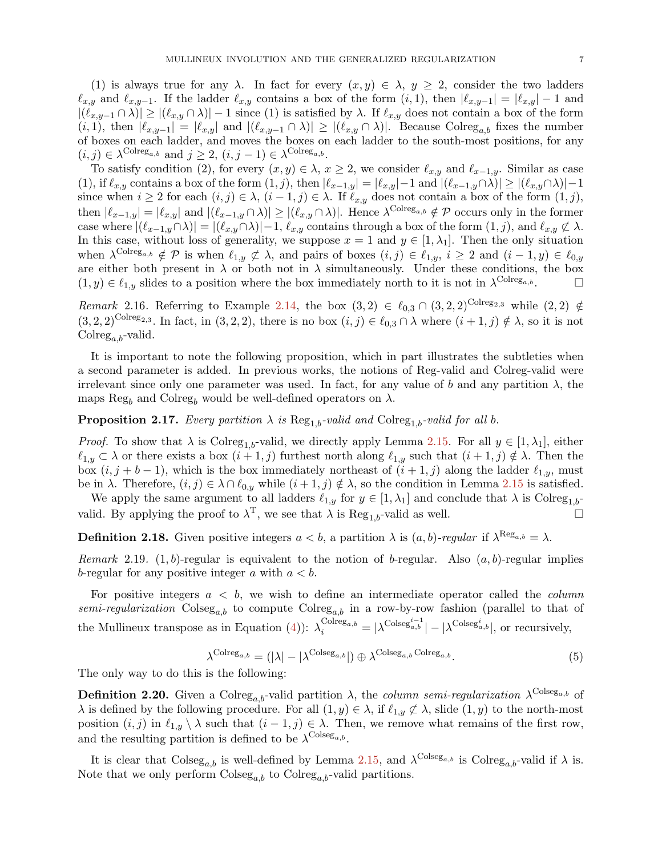(1) is always true for any  $\lambda$ . In fact for every  $(x, y) \in \lambda$ ,  $y \geq 2$ , consider the two ladders  $\ell_{x,y}$  and  $\ell_{x,y-1}$ . If the ladder  $\ell_{x,y}$  contains a box of the form  $(i,1)$ , then  $|\ell_{x,y-1}| = |\ell_{x,y}| - 1$  and  $|(\ell_{x,y-1} \cap \lambda)| \ge |(\ell_{x,y} \cap \lambda)| - 1$  since (1) is satisfied by  $\lambda$ . If  $\ell_{x,y}$  does not contain a box of the form  $(i, 1)$ , then  $|\ell_{x,y-1}| = |\ell_{x,y}|$  and  $|(\ell_{x,y-1} \cap \lambda)| \geq |(\ell_{x,y} \cap \lambda)|$ . Because Colreg<sub>a,b</sub> fixes the number of boxes on each ladder, and moves the boxes on each ladder to the south-most positions, for any  $(i, j) \in \lambda^{\text{Colreg}_{a,b}}$  and  $j \geq 2$ ,  $(i, j - 1) \in \lambda^{\text{Colreg}_{a,b}}$ .

To satisfy condition (2), for every  $(x, y) \in \lambda$ ,  $x \ge 2$ , we consider  $\ell_{x,y}$  and  $\ell_{x-1,y}$ . Similar as case (1), if  $\ell_{x,y}$  contains a box of the form  $(1, j)$ , then  $|\ell_{x-1,y}| = |\ell_{x,y}|-1$  and  $|(\ell_{x-1,y}\cap\lambda)| \ge |(\ell_{x,y}\cap\lambda)|-1$ since when  $i \geq 2$  for each  $(i, j) \in \lambda$ ,  $(i - 1, j) \in \lambda$ . If  $\ell_{x,y}$  does not contain a box of the form  $(1, j)$ , then  $|\ell_{x-1,y}| = |\ell_{x,y}|$  and  $|(\ell_{x-1,y} \cap \lambda)| \ge |(\ell_{x,y} \cap \lambda)|$ . Hence  $\lambda^{\text{Colreg}_{a,b}} \notin \mathcal{P}$  occurs only in the former case where  $|(\ell_{x-1,y}\cap\lambda)|=|(\ell_{x,y}\cap\lambda)|-1, \ell_{x,y}$  contains through a box of the form  $(1, j)$ , and  $\ell_{x,y}\not\subset\lambda$ . In this case, without loss of generality, we suppose  $x = 1$  and  $y \in [1, \lambda_1]$ . Then the only situation when  $\lambda^{\text{Colreg}_{a,b}} \notin \mathcal{P}$  is when  $\ell_{1,y} \notin \lambda$ , and pairs of boxes  $(i,j) \in \ell_{1,y}$ ,  $i \geq 2$  and  $(i-1,y) \in \ell_{0,y}$ are either both present in  $\lambda$  or both not in  $\lambda$  simultaneously. Under these conditions, the box  $(1, y) \in \ell_{1,y}$  slides to a position where the box immediately north to it is not in  $\lambda^{\text{Colreg}_{a,b}}$ .

*Remark* 2.16*.* Referring to Example [2.14,](#page-5-1) the box  $(3,2) \in \ell_{0,3} \cap (3,2,2)^{\text{Colreg}_{2,3}}$  while  $(2,2) \notin$  $(3, 2, 2)^{\text{Colreg}_{2,3}}$ . In fact, in  $(3, 2, 2)$ , there is no box  $(i, j) \in \ell_{0,3} \cap \lambda$  where  $(i + 1, j) \notin \lambda$ , so it is not  $Colreg_{a,b}$ -valid.

It is important to note the following proposition, which in part illustrates the subtleties when a second parameter is added. In previous works, the notions of Reg-valid and Colreg-valid were irrelevant since only one parameter was used. In fact, for any value of b and any partition  $\lambda$ , the maps Reg<sub>b</sub> and Colreg<sub>b</sub> would be well-defined operators on  $\lambda$ .

**Proposition 2.17.** *Every partition*  $\lambda$  *is* Reg<sub>1,b</sub>-valid and Colreg<sub>1,b</sub>-valid for all b.

*Proof.* To show that  $\lambda$  is Colreg<sub>1,b</sub>-valid, we directly apply Lemma [2.15.](#page-5-2) For all  $y \in [1, \lambda_1]$ , either  $\ell_{1,y} \subset \lambda$  or there exists a box  $(i+1,j)$  furthest north along  $\ell_{1,y}$  such that  $(i+1,j) \notin \lambda$ . Then the box  $(i, j + b - 1)$ , which is the box immediately northeast of  $(i + 1, j)$  along the ladder  $\ell_{1,y}$ , must be in  $\lambda$ . Therefore,  $(i, j) \in \lambda \cap \ell_{0,y}$  while  $(i + 1, j) \notin \lambda$ , so the condition in Lemma [2.15](#page-5-2) is satisfied.

We apply the same argument to all ladders  $\ell_{1,y}$  for  $y \in [1, \lambda_1]$  and conclude that  $\lambda$  is Colreg<sub>1,b</sub>valid. By applying the proof to  $\lambda^T$ , we see that  $\lambda$  is  $\text{Reg}_{1,b}$ -valid as well.

**Definition 2.18.** Given positive integers  $a < b$ , a partition  $\lambda$  is  $(a, b)$ -regular if  $\lambda^{\text{Reg}_{a,b}} = \lambda$ .

*Remark* 2.19.  $(1, b)$ -regular is equivalent to the notion of b-regular. Also  $(a, b)$ -regular implies b-regular for any positive integer a with  $a < b$ .

For positive integers a < b, we wish to define an intermediate operator called the *column semi-regularization*  $\text{Coles}_{a,b}$  to compute  $\text{Coles}_{a,b}$  in a row-by-row fashion (parallel to that of the Mullineux transpose as in Equation [\(4\)](#page-3-3)):  $\lambda_i^{\text{Colreg}_{a,b}} = |\lambda^{\text{Colseg}_{a,b}^i}| - |\lambda^{\text{Colseg}_{a,b}^i}|$ , or recursively,

<span id="page-6-0"></span>
$$
\lambda^{\text{Colreg}_{a,b}} = (|\lambda| - |\lambda^{\text{Colseg}_{a,b}}|) \oplus \lambda^{\text{Colseg}_{a,b}\text{Colreg}_{a,b}}.
$$
\n(5)

The only way to do this is the following:

**Definition 2.20.** Given a Colreg<sub>a,b</sub>-valid partition  $\lambda$ , the *column semi-regularization*  $\lambda^{\text{Colesg}_{a,b}}$  of  $\lambda$  is defined by the following procedure. For all  $(1, y) \in \lambda$ , if  $\ell_{1,y} \not\subset \lambda$ , slide  $(1, y)$  to the north-most position  $(i, j)$  in  $\ell_{1,y} \setminus \lambda$  such that  $(i - 1, j) \in \lambda$ . Then, we remove what remains of the first row, and the resulting partition is defined to be  $\lambda^{\text{Colesg}_{a,b}}$ .

It is clear that  $\text{Coleg}_{a,b}$  is well-defined by Lemma [2.15,](#page-5-2) and  $\lambda^{\text{Coleg}_{a,b}}$  is  $\text{Coleg}_{a,b}$ -valid if  $\lambda$  is. Note that we only perform  $\text{Coleg}_{a,b}$  to  $\text{Coleg}_{a,b}$ -valid partitions.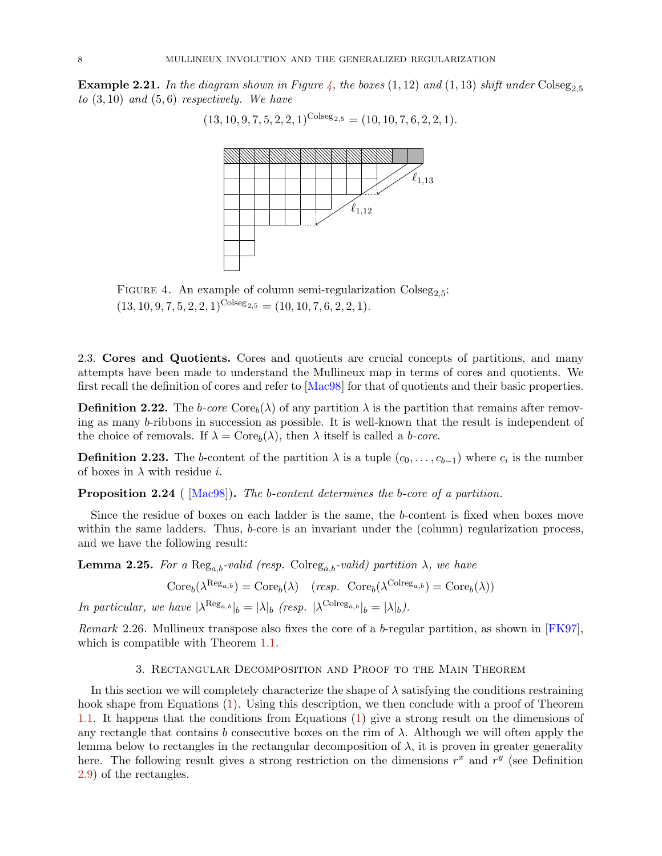<span id="page-7-2"></span>**Example 2.21.** In the diagram shown in Figure [4,](#page-7-2) the boxes  $(1,12)$  and  $(1,13)$  shift under Colseg<sub>2.5</sub> *to* (3, 10) *and* (5, 6) *respectively. We have*

$$
(13, 10, 9, 7, 5, 2, 2, 1)^{\text{Coiseg}_{2,5}} = (10, 10, 7, 6, 2, 2, 1).
$$



FIGURE 4. An example of column semi-regularization  $\text{Coles}_{2,5}$ :  $(13, 10, 9, 7, 5, 2, 2, 1)^{\text{Colesg}_{2,5}} = (10, 10, 7, 6, 2, 2, 1).$ 

<span id="page-7-0"></span>2.3. Cores and Quotients. Cores and quotients are crucial concepts of partitions, and many attempts have been made to understand the Mullineux map in terms of cores and quotients. We first recall the definition of cores and refer to [\[Mac98\]](#page-19-10) for that of quotients and their basic properties.

**Definition 2.22.** The *b-core* Core<sub>b</sub>( $\lambda$ ) of any partition  $\lambda$  is the partition that remains after removing as many b-ribbons in succession as possible. It is well-known that the result is independent of the choice of removals. If  $\lambda = \text{Core}_b(\lambda)$ , then  $\lambda$  itself is called a *b-core*.

**Definition 2.23.** The b-content of the partition  $\lambda$  is a tuple  $(c_0, \ldots, c_{b-1})$  where  $c_i$  is the number of boxes in  $\lambda$  with residue *i*.

Proposition 2.24 ( [\[Mac98\]](#page-19-10)). *The* b*-content determines the* b*-core of a partition.*

Since the residue of boxes on each ladder is the same, the b-content is fixed when boxes move within the same ladders. Thus, b-core is an invariant under the (column) regularization process, and we have the following result:

<span id="page-7-4"></span>**Lemma 2.25.** For a  $\text{Reg}_{a,b}$ -valid (resp. Colreg<sub>a,b</sub>-valid) partition  $\lambda$ , we have

 $\text{Core}_b(\lambda^{\text{Reg}_{a,b}}) = \text{Core}_b(\lambda)$   $(resp. \ \text{Core}_b(\lambda^{\text{Colreg}_{a,b}}) = \text{Core}_b(\lambda))$ 

*In particular, we have*  $|\lambda^{\text{Reg}_{a,b}}|_b = |\lambda|_b$  *(resp.*  $|\lambda^{\text{Colreg}_{a,b}}|_b = |\lambda|_b$ ).

<span id="page-7-1"></span>*Remark* 2.26*.* Mullineux transpose also fixes the core of a b-regular partition, as shown in [\[FK97\]](#page-19-2), which is compatible with Theorem [1.1.](#page-1-1)

## 3. Rectangular Decomposition and Proof to the Main Theorem

<span id="page-7-3"></span>In this section we will completely characterize the shape of  $\lambda$  satisfying the conditions restraining hook shape from Equations [\(1\)](#page-1-0). Using this description, we then conclude with a proof of Theorem [1.1.](#page-1-1) It happens that the conditions from Equations [\(1\)](#page-1-0) give a strong result on the dimensions of any rectangle that contains b consecutive boxes on the rim of  $\lambda$ . Although we will often apply the lemma below to rectangles in the rectangular decomposition of  $\lambda$ , it is proven in greater generality here. The following result gives a strong restriction on the dimensions  $r^x$  and  $r^y$  (see Definition [2.9\)](#page-3-2) of the rectangles.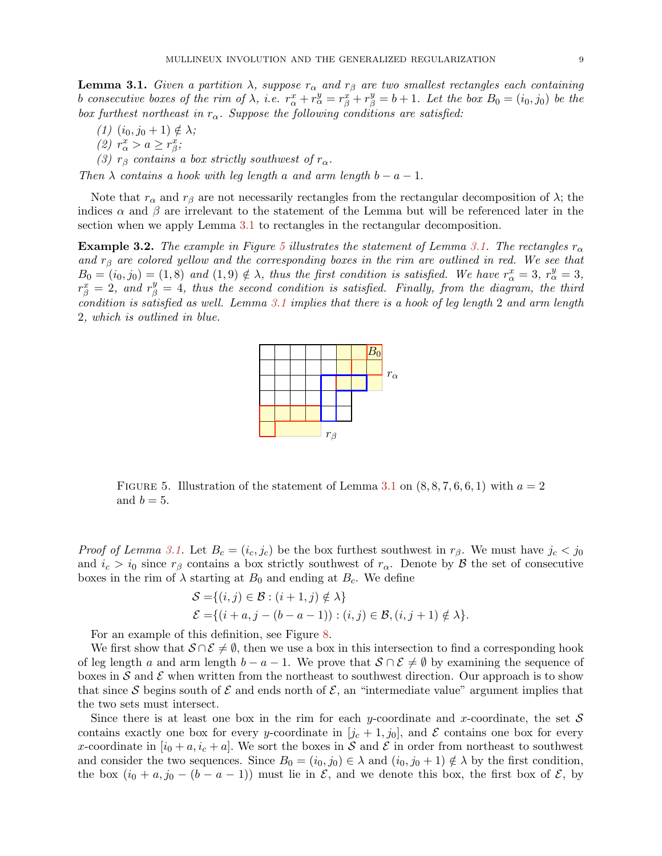**Lemma 3.1.** *Given a partition*  $\lambda$ *, suppose*  $r_{\alpha}$  *and*  $r_{\beta}$  *are two smallest rectangles each containing* b consecutive boxes of the rim of  $\lambda$ , i.e.  $r^x_\alpha + r^y_\alpha = r^x_\beta + r^y_\beta = b + 1$ . Let the box  $B_0 = (i_0, j_0)$  be the *box furthest northeast in*  $r_{\alpha}$ *. Suppose the following conditions are satisfied:* 

- $(1)$   $(i_0, j_0 + 1) \notin \lambda$ ; (2)  $r^x_\alpha > a \geq r^x_\beta;$
- *(3)*  $r_\beta$  *contains a box strictly southwest of*  $r_\alpha$ *.*

*Then*  $\lambda$  *contains a hook with leg length* a *and arm length*  $b - a - 1$ .

Note that  $r_{\alpha}$  and  $r_{\beta}$  are not necessarily rectangles from the rectangular decomposition of  $\lambda$ ; the indices  $\alpha$  and  $\beta$  are irrelevant to the statement of the Lemma but will be referenced later in the section when we apply Lemma [3.1](#page-7-3) to rectangles in the rectangular decomposition.

<span id="page-8-0"></span>**Example 3.2.** The example in Figure [5](#page-8-0) illustrates the statement of Lemma [3.1.](#page-7-3) The rectangles  $r_{\alpha}$ *and* r<sup>β</sup> *are colored yellow and the corresponding boxes in the rim are outlined in red. We see that*  $B_0 = (i_0, j_0) = (1, 8)$  and  $(1, 9) \notin \lambda$ , thus the first condition is satisfied. We have  $r^x_{\alpha} = 3$ ,  $r^y_{\alpha} = 3$ ,  $r_{\beta}^x = 2$ , and  $r_{\beta}^y = 4$ , thus the second condition is satisfied. Finally, from the diagram, the third *condition is satisfied as well. Lemma [3.1](#page-7-3) implies that there is a hook of leg length* 2 *and arm length* 2*, which is outlined in blue.*



FIGURE 5. Illustration of the statement of Lemma [3.1](#page-7-3) on  $(8, 8, 7, 6, 6, 1)$  with  $a = 2$ and  $b = 5$ .

*Proof of Lemma [3.1.](#page-7-3)* Let  $B_c = (i_c, j_c)$  be the box furthest southwest in  $r_\beta$ . We must have  $j_c < j_0$ and  $i_c > i_0$  since  $r_\beta$  contains a box strictly southwest of  $r_\alpha$ . Denote by  $\beta$  the set of consecutive boxes in the rim of  $\lambda$  starting at  $B_0$  and ending at  $B_c$ . We define

$$
S = \{(i, j) \in \mathcal{B} : (i + 1, j) \notin \lambda\}
$$
  

$$
\mathcal{E} = \{(i + a, j - (b - a - 1)) : (i, j) \in \mathcal{B}, (i, j + 1) \notin \lambda\}.
$$

For an example of this definition, see Figure [8.](#page-10-0)

We first show that  $S \cap \mathcal{E} \neq \emptyset$ , then we use a box in this intersection to find a corresponding hook of leg length a and arm length  $b - a - 1$ . We prove that  $S \cap \mathcal{E} \neq \emptyset$  by examining the sequence of boxes in S and E when written from the northeast to southwest direction. Our approach is to show that since S begins south of  $\mathcal E$  and ends north of  $\mathcal E$ , an "intermediate value" argument implies that the two sets must intersect.

Since there is at least one box in the rim for each y-coordinate and x-coordinate, the set  $S$ contains exactly one box for every y-coordinate in  $[j_c + 1, j_0]$ , and E contains one box for every x-coordinate in  $[i_0 + a, i_c + a]$ . We sort the boxes in S and E in order from northeast to southwest and consider the two sequences. Since  $B_0 = (i_0, j_0) \in \lambda$  and  $(i_0, j_0 + 1) \notin \lambda$  by the first condition, the box  $(i_0 + a, j_0 - (b - a - 1))$  must lie in  $\mathcal{E}$ , and we denote this box, the first box of  $\mathcal{E}$ , by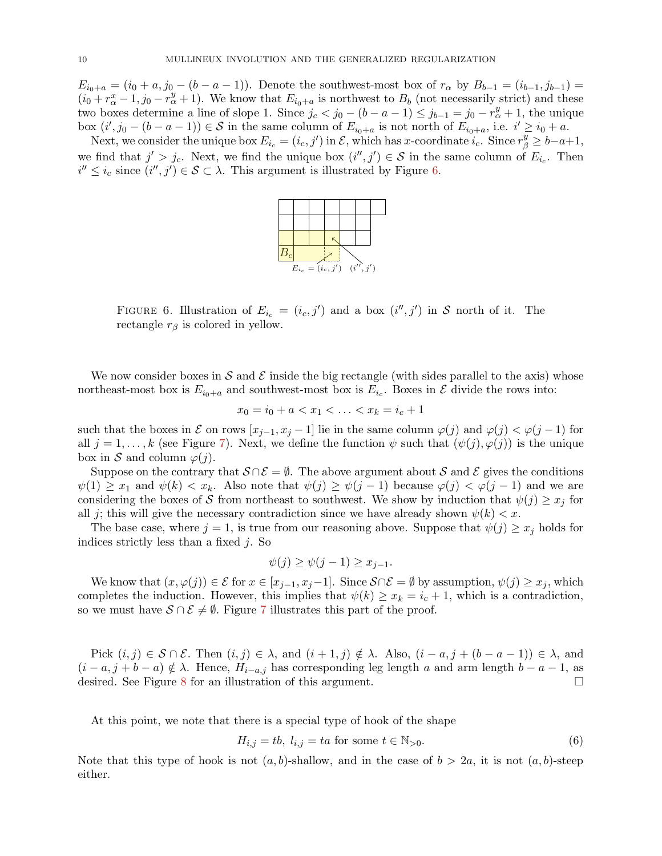$E_{i_0+a} = (i_0 + a, j_0 - (b - a - 1))$ . Denote the southwest-most box of  $r_\alpha$  by  $B_{b-1} = (i_{b-1}, j_{b-1}) =$  $(i_0 + r_\alpha^x - 1, j_0 - r_\alpha^y + 1)$ . We know that  $E_{i_0 + a}$  is northwest to  $B_b$  (not necessarily strict) and these two boxes determine a line of slope 1. Since  $j_c < j_0 - (b - a - 1) \leq j_{b-1} = j_0 - r_\alpha^y + 1$ , the unique box  $(i', j_0 - (b - a - 1)) \in S$  in the same column of  $E_{i_0+a}$  is not north of  $E_{i_0+a}$ , i.e.  $i' \ge i_0 + a$ .

<span id="page-9-0"></span>Next, we consider the unique box  $E_{i_c} = (i_c, j')$  in  $\mathcal{E}$ , which has x-coordinate  $i_c$ . Since  $r^y_\beta \geq b-a+1$ , we find that  $j' > j_c$ . Next, we find the unique box  $(i'', j') \in S$  in the same column of  $E_{i_c}$ . Then  $i'' \leq i_c$  since  $(i'', j') \in \mathcal{S} \subset \lambda$ . This argument is illustrated by Figure [6.](#page-9-0)



FIGURE 6. Illustration of  $E_{i_c} = (i_c, j')$  and a box  $(i'', j')$  in S north of it. The rectangle  $r_\beta$  is colored in yellow.

We now consider boxes in S and E inside the big rectangle (with sides parallel to the axis) whose northeast-most box is  $E_{i_0+a}$  and southwest-most box is  $E_{i_c}$ . Boxes in  $\mathcal E$  divide the rows into:

$$
x_0 = i_0 + a < x_1 < \ldots < x_k = i_c + 1
$$

such that the boxes in E on rows  $[x_{i-1}, x_i - 1]$  lie in the same column  $\varphi(j)$  and  $\varphi(j) < \varphi(j-1)$  for all  $j = 1, \ldots, k$  (see Figure [7\)](#page-10-1). Next, we define the function  $\psi$  such that  $(\psi(j), \varphi(j))$  is the unique box in S and column  $\varphi(j)$ .

Suppose on the contrary that  $S \cap \mathcal{E} = \emptyset$ . The above argument about S and E gives the conditions  $\psi(1) \geq x_1$  and  $\psi(k) < x_k$ . Also note that  $\psi(j) \geq \psi(j-1)$  because  $\varphi(j) < \varphi(j-1)$  and we are considering the boxes of S from northeast to southwest. We show by induction that  $\psi(j) \geq x_i$  for all j; this will give the necessary contradiction since we have already shown  $\psi(k) < x$ .

The base case, where  $j = 1$ , is true from our reasoning above. Suppose that  $\psi(j) \geq x_j$  holds for indices strictly less than a fixed j. So

$$
\psi(j) \ge \psi(j-1) \ge x_{j-1}.
$$

We know that  $(x, \varphi(j)) \in \mathcal{E}$  for  $x \in [x_{j-1}, x_j-1]$ . Since  $\mathcal{S} \cap \mathcal{E} = \emptyset$  by assumption,  $\psi(j) \geq x_j$ , which completes the induction. However, this implies that  $\psi(k) \geq x_k = i_c + 1$ , which is a contradiction, so we must have  $S \cap \mathcal{E} \neq \emptyset$ . Figure [7](#page-10-1) illustrates this part of the proof.

Pick  $(i, j) \in \mathcal{S} \cap \mathcal{E}$ . Then  $(i, j) \in \lambda$ , and  $(i + 1, j) \notin \lambda$ . Also,  $(i - a, j + (b - a - 1)) \in \lambda$ , and  $(i - a, j + b - a) \notin \lambda$ . Hence,  $H_{i-a,j}$  has corresponding leg length a and arm length  $b - a - 1$ , as desired. See Figure [8](#page-10-0) for an illustration of this argument.

At this point, we note that there is a special type of hook of the shape

<span id="page-9-1"></span>
$$
H_{i,j} = tb, l_{i,j} = ta \text{ for some } t \in \mathbb{N}_{>0}.
$$
\n
$$
(6)
$$

<span id="page-9-2"></span>Note that this type of hook is not  $(a, b)$ -shallow, and in the case of  $b > 2a$ , it is not  $(a, b)$ -steep either.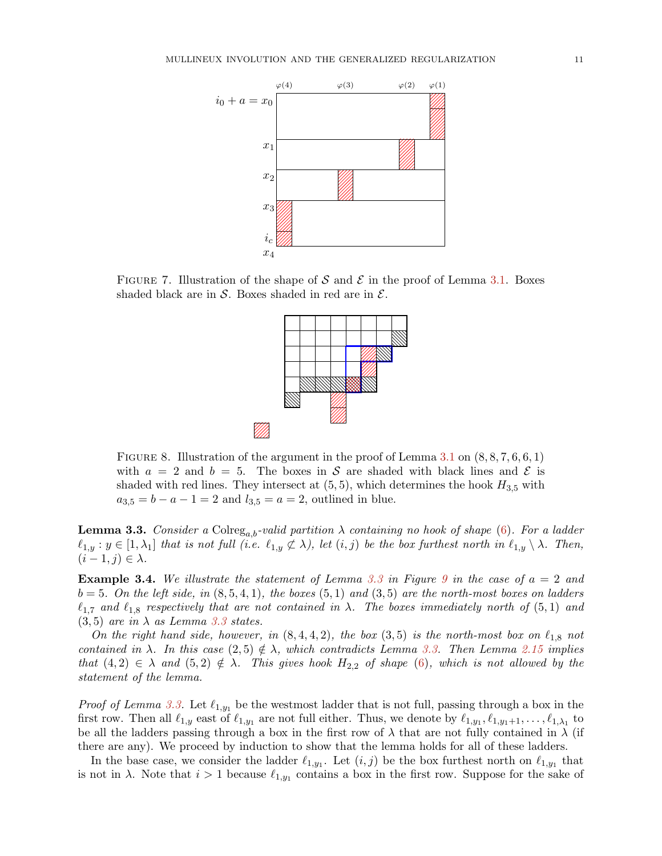<span id="page-10-1"></span>

<span id="page-10-0"></span>FIGURE 7. Illustration of the shape of S and S in the proof of Lemma [3.1.](#page-7-3) Boxes shaded black are in S. Boxes shaded in red are in  $\mathcal{E}$ .



FIGURE 8. Illustration of the argument in the proof of Lemma [3.1](#page-7-3) on  $(8, 8, 7, 6, 6, 1)$ with  $a = 2$  and  $b = 5$ . The boxes in S are shaded with black lines and S is shaded with red lines. They intersect at  $(5,5)$ , which determines the hook  $H_{3,5}$  with  $a_{3,5} = b - a - 1 = 2$  and  $l_{3,5} = a = 2$ , outlined in blue.

**Lemma 3.3.** *Consider a* Colreg<sub>a,b</sub>-valid partition  $\lambda$  *containing no hook of shape* [\(6\)](#page-9-1). For a ladder  $\ell_{1,y}$ :  $y \in [1, \lambda_1]$  *that is not full (i.e.*  $\ell_{1,y} \not\subset \lambda$ ), let  $(i,j)$  be the box furthest north in  $\ell_{1,y} \setminus \lambda$ . Then,  $(i-1, j) \in \lambda$ .

Example 3.4. *We illustrate the statement of Lemma [3.3](#page-9-2) in Figure [9](#page-11-0) in the case of* a = 2 *and*  $b = 5$ *. On the left side, in*  $(8, 5, 4, 1)$ *, the boxes*  $(5, 1)$  *and*  $(3, 5)$  *are the north-most boxes on ladders*  $\ell_{1,7}$  and  $\ell_{1,8}$  respectively that are not contained in  $\lambda$ . The boxes immediately north of (5,1) and  $(3, 5)$  *are in*  $\lambda$  *as Lemma* [3.3](#page-9-2) *states.* 

*On the right hand side, however, in*  $(8, 4, 4, 2)$ *, the box*  $(3, 5)$  *is the north-most box on*  $\ell_{1,8}$  *not contained in*  $\lambda$ *. In this case*  $(2,5) \notin \lambda$ *, which contradicts Lemma [3.3.](#page-9-2) Then Lemma [2.15](#page-5-2) implies that*  $(4, 2) \in \lambda$  *and*  $(5, 2) \notin \lambda$ *. This gives hook*  $H_{2,2}$  *of shape*  $(6)$ *, which is not allowed by the statement of the lemma.*

*Proof of Lemma [3.3.](#page-9-2)* Let  $\ell_{1,y_1}$  be the westmost ladder that is not full, passing through a box in the first row. Then all  $\ell_{1,y}$  east of  $\ell_{1,y_1}$  are not full either. Thus, we denote by  $\ell_{1,y_1}, \ell_{1,y_1+1}, \ldots, \ell_{1,\lambda_1}$  to be all the ladders passing through a box in the first row of  $\lambda$  that are not fully contained in  $\lambda$  (if there are any). We proceed by induction to show that the lemma holds for all of these ladders.

In the base case, we consider the ladder  $\ell_{1,y_1}$ . Let  $(i, j)$  be the box furthest north on  $\ell_{1,y_1}$  that is not in  $\lambda$ . Note that  $i > 1$  because  $\ell_{1,y_1}$  contains a box in the first row. Suppose for the sake of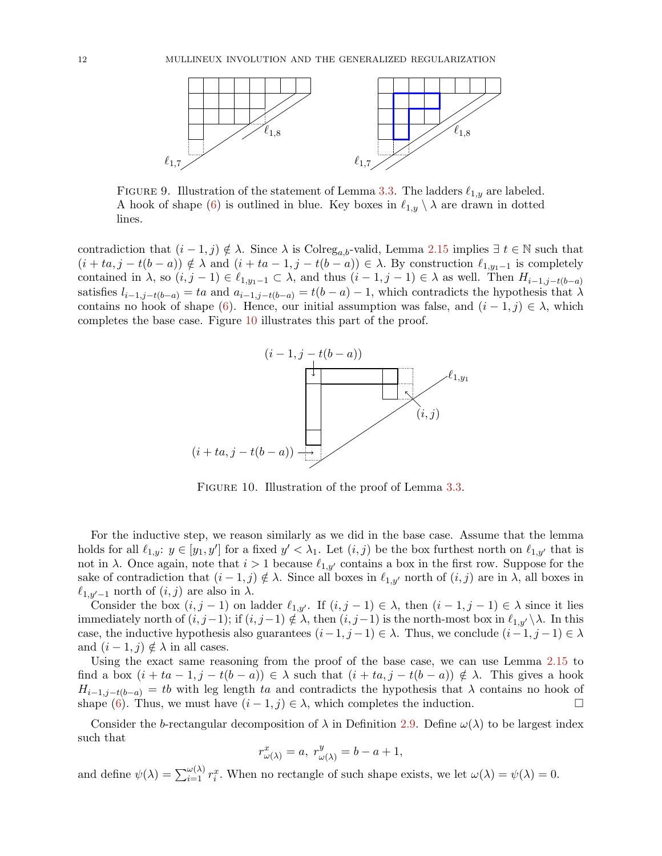<span id="page-11-0"></span>

FIGURE 9. Illustration of the statement of Lemma [3.3.](#page-9-2) The ladders  $\ell_{1,y}$  are labeled. A hook of shape [\(6\)](#page-9-1) is outlined in blue. Key boxes in  $\ell_{1,y} \setminus \lambda$  are drawn in dotted lines.

<span id="page-11-1"></span>contradiction that  $(i-1, j) \notin \lambda$ . Since  $\lambda$  is Colreg<sub>a,b</sub>-valid, Lemma [2.15](#page-5-2) implies  $\exists t \in \mathbb{N}$  such that  $(i + ta, j - t(b - a)) \notin \lambda$  and  $(i + ta - 1, j - t(b - a)) \in \lambda$ . By construction  $\ell_{1,y_1-1}$  is completely contained in  $\lambda$ , so  $(i, j - 1) \in \ell_{1,y_1-1} \subset \lambda$ , and thus  $(i - 1, j - 1) \in \lambda$  as well. Then  $H_{i-1,j-t(b-a)}$ satisfies  $l_{i-1,j-t(b-a)} = ta$  and  $a_{i-1,j-t(b-a)} = t(b-a) - 1$ , which contradicts the hypothesis that  $\lambda$ contains no hook of shape [\(6\)](#page-9-1). Hence, our initial assumption was false, and  $(i - 1, j) \in \lambda$ , which completes the base case. Figure [10](#page-11-1) illustrates this part of the proof.



FIGURE 10. Illustration of the proof of Lemma [3.3.](#page-9-2)

For the inductive step, we reason similarly as we did in the base case. Assume that the lemma holds for all  $\ell_{1,y}: y \in [y_1, y']$  for a fixed  $y' < \lambda_1$ . Let  $(i, j)$  be the box furthest north on  $\ell_{1,y'}$  that is not in  $\lambda$ . Once again, note that  $i > 1$  because  $\ell_{1,y'}$  contains a box in the first row. Suppose for the sake of contradiction that  $(i-1, j) \notin \lambda$ . Since all boxes in  $\ell_{1,y'}$  north of  $(i, j)$  are in  $\lambda$ , all boxes in  $\ell_{1,y'-1}$  north of  $(i,j)$  are also in  $\lambda$ .

Consider the box  $(i, j - 1)$  on ladder  $\ell_{1,y'}$ . If  $(i, j - 1) \in \lambda$ , then  $(i - 1, j - 1) \in \lambda$  since it lies immediately north of  $(i, j-1)$ ; if  $(i, j-1) \notin \lambda$ , then  $(i, j-1)$  is the north-most box in  $\ell_{1,y'} \setminus \lambda$ . In this case, the inductive hypothesis also guarantees  $(i-1, j-1) \in \lambda$ . Thus, we conclude  $(i-1, j-1) \in \lambda$ and  $(i - 1, j) \notin \lambda$  in all cases.

Using the exact same reasoning from the proof of the base case, we can use Lemma [2.15](#page-5-2) to find a box  $(i + ta - 1, j - t(b - a)) \in \lambda$  such that  $(i + ta, j - t(b - a)) \notin \lambda$ . This gives a hook  $H_{i-1,j-t(b-a)} = tb$  with leg length ta and contradicts the hypothesis that  $\lambda$  contains no hook of shape [\(6\)](#page-9-1). Thus, we must have  $(i - 1, j) \in \lambda$ , which completes the induction.

Consider the b-rectangular decomposition of  $\lambda$  in Definition [2.9.](#page-3-2) Define  $\omega(\lambda)$  to be largest index such that

$$
r^x_{\omega(\lambda)} = a, r^y_{\omega(\lambda)} = b - a + 1,
$$

and define  $\psi(\lambda) = \sum_{i=1}^{\omega(\lambda)} r_i^x$ . When no rectangle of such shape exists, we let  $\omega(\lambda) = \psi(\lambda) = 0$ .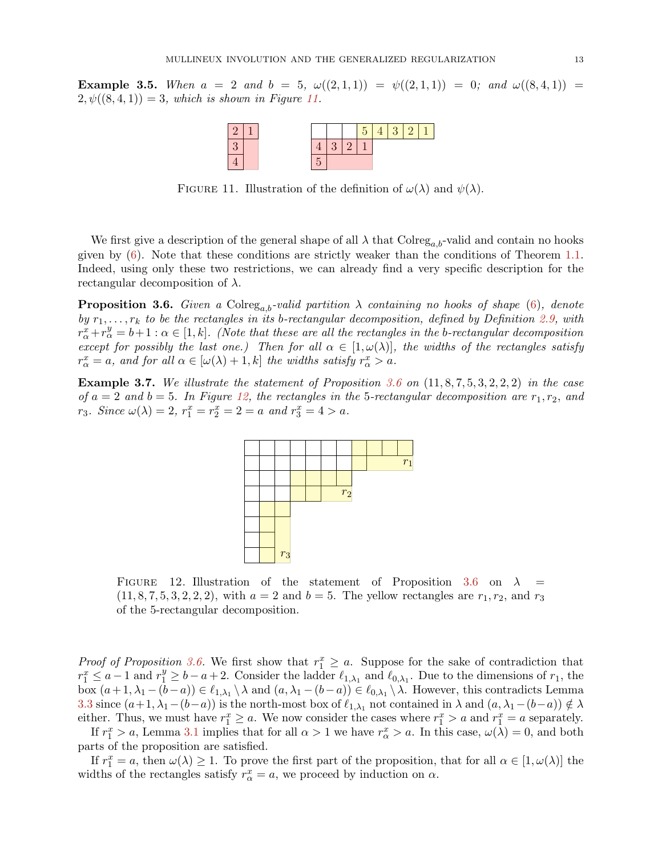<span id="page-12-0"></span>**Example 3.5.** When  $a = 2$  and  $b = 5$ ,  $\omega((2,1,1)) = \psi((2,1,1)) = 0$ ; and  $\omega((8,4,1)) =$  $2, \psi((8, 4, 1)) = 3$ , which is shown in Figure [11.](#page-12-0)



FIGURE 11. Illustration of the definition of  $\omega(\lambda)$  and  $\psi(\lambda)$ .

We first give a description of the general shape of all  $\lambda$  that Colreg<sub>a, b</sub>-valid and contain no hooks given by  $(6)$ . Note that these conditions are strictly weaker than the conditions of Theorem [1.1.](#page-1-1) Indeed, using only these two restrictions, we can already find a very specific description for the rectangular decomposition of  $\lambda$ .

<span id="page-12-1"></span>**Proposition 3.6.** *Given a* Colreg<sub>a,b</sub>-valid partition  $\lambda$  *containing no hooks of shape* [\(6\)](#page-9-1)*, denote by*  $r_1, \ldots, r_k$  *to be the rectangles in its b-rectangular decomposition, defined by Definition* [2.9,](#page-3-2) with  $r_{\alpha}^x + r_{\alpha}^y = b+1$ :  $\alpha \in [1, k]$ . (Note that these are all the rectangles in the b-rectangular decomposition *except for possibly the last one.) Then for all*  $\alpha \in [1, \omega(\lambda)]$ *, the widths of the rectangles satisfy*  $r^x_\alpha = a$ , and for all  $\alpha \in [\omega(\lambda) + 1, k]$  the widths satisfy  $r^x_\alpha > a$ .

<span id="page-12-2"></span>Example 3.7. *We illustrate the statement of Proposition [3.6](#page-12-1) on* (11, 8, 7, 5, 3, 2, 2, 2) *in the case of*  $a = 2$  *and*  $b = 5$ *. In Figure [12,](#page-12-2) the rectangles in the* 5-rectangular decomposition are  $r_1, r_2,$  *and*  $r_3$ *. Since*  $\omega(\lambda) = 2$ ,  $r_1^x = r_2^x = 2 = a$  and  $r_3^x = 4 > a$ *.* 



FIGURE 12. Illustration of the statement of Proposition [3.6](#page-12-1) on  $\lambda =$  $(11, 8, 7, 5, 3, 2, 2, 2)$ , with  $a = 2$  and  $b = 5$ . The yellow rectangles are  $r_1, r_2$ , and  $r_3$ of the 5-rectangular decomposition.

*Proof of Proposition* [3.6.](#page-12-1) We first show that  $r_1^x \geq a$ . Suppose for the sake of contradiction that  $r_1^x \le a-1$  and  $r_1^y \ge b-a+2$ . Consider the ladder  $\ell_{1,\lambda_1}$  and  $\ell_{0,\lambda_1}$ . Due to the dimensions of  $r_1$ , the box  $(a+1,\lambda_1-(b-a)) \in \ell_{1,\lambda_1} \setminus \lambda$  and  $(a,\lambda_1-(b-a)) \in \ell_{0,\lambda_1} \setminus \lambda$ . However, this contradicts Lemma [3.3](#page-9-2) since  $(a+1,\lambda_1-(b-a))$  is the north-most box of  $\ell_{1,\lambda_1}$  not contained in  $\lambda$  and  $(a,\lambda_1-(b-a)) \notin \lambda$ either. Thus, we must have  $r_1^x \ge a$ . We now consider the cases where  $r_1^x > a$  and  $r_1^x = a$  separately.

If  $r_1^x > a$ , Lemma [3.1](#page-7-3) implies that for all  $\alpha > 1$  we have  $r_\alpha^x > a$ . In this case,  $\omega(\lambda) = 0$ , and both parts of the proposition are satisfied.

If  $r_1^x = a$ , then  $\omega(\lambda) \ge 1$ . To prove the first part of the proposition, that for all  $\alpha \in [1, \omega(\lambda)]$  the widths of the rectangles satisfy  $r^x_\alpha = a$ , we proceed by induction on  $\alpha$ .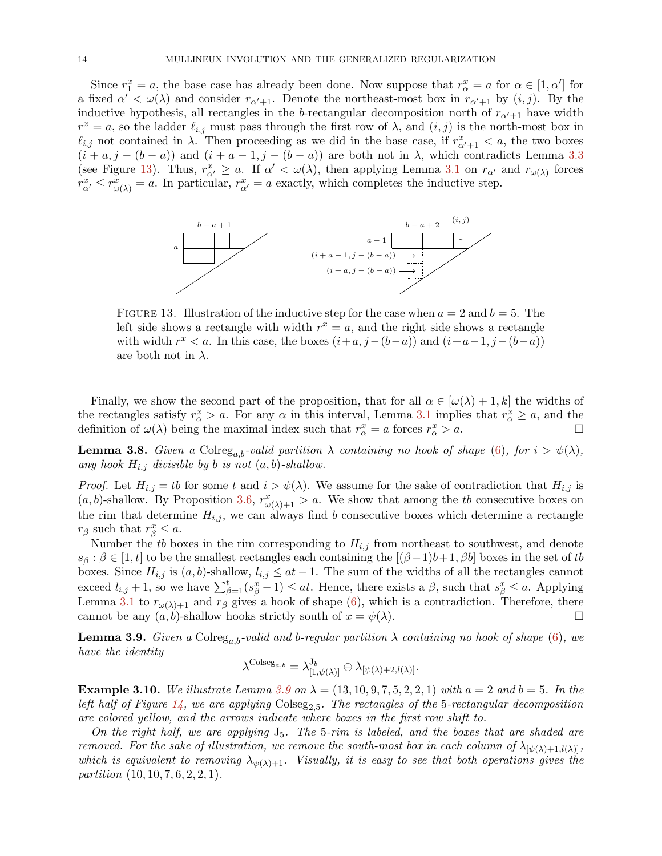Since  $r_1^x = a$ , the base case has already been done. Now suppose that  $r_\alpha^x = a$  for  $\alpha \in [1, \alpha']$  for a fixed  $\alpha' < \omega(\lambda)$  and consider  $r_{\alpha'+1}$ . Denote the northeast-most box in  $r_{\alpha'+1}$  by  $(i, j)$ . By the inductive hypothesis, all rectangles in the b-rectangular decomposition north of  $r_{\alpha'+1}$  have width  $r^x = a$ , so the ladder  $\ell_{i,j}$  must pass through the first row of  $\lambda$ , and  $(i,j)$  is the north-most box in  $\ell_{i,j}$  not contained in  $\lambda$ . Then proceeding as we did in the base case, if  $r^x_{\alpha'+1} < a$ , the two boxes  $(i + a, j - (b - a))$  and  $(i + a - 1, j - (b - a))$  are both not in  $\lambda$ , which contradicts Lemma [3.3](#page-9-2) (see Figure [13\)](#page-13-0). Thus,  $r_{\alpha'}^x \ge a$ . If  $\alpha' < \omega(\lambda)$ , then applying Lemma [3.1](#page-7-3) on  $r_{\alpha'}$  and  $r_{\omega(\lambda)}$  forces  $r_{\alpha'}^x \leq r_{\omega(\lambda)}^x = a$ . In particular,  $r_{\alpha'}^x = a$  exactly, which completes the inductive step.

<span id="page-13-0"></span>

FIGURE 13. Illustration of the inductive step for the case when  $a = 2$  and  $b = 5$ . The left side shows a rectangle with width  $r^x = a$ , and the right side shows a rectangle with width  $r^x < a$ . In this case, the boxes  $(i+a, j-(b-a))$  and  $(i+a-1, j-(b-a))$ are both not in  $\lambda$ .

Finally, we show the second part of the proposition, that for all  $\alpha \in [\omega(\lambda) + 1, k]$  the widths of the rectangles satisfy  $r^x_\alpha > a$ . For any  $\alpha$  in this interval, Lemma [3.1](#page-7-3) implies that  $r^x_\alpha \ge a$ , and the definition of  $\omega(\lambda)$  being the maximal index such that  $r^x_\alpha = a$  forces  $r^x_\alpha > a$ .

<span id="page-13-2"></span>**Lemma 3.8.** *Given a* Colreg<sub>a,b</sub>-valid partition  $\lambda$  *containing no hook of shape* [\(6\)](#page-9-1)*, for*  $i > \psi(\lambda)$ *,* any hook  $H_{i,j}$  divisible by b is not  $(a, b)$ -shallow.

*Proof.* Let  $H_{i,j} = tb$  for some t and  $i > \psi(\lambda)$ . We assume for the sake of contradiction that  $H_{i,j}$  is  $(a, b)$ -shallow. By Proposition [3.6,](#page-12-1)  $r^x_{\omega(\lambda)+1} > a$ . We show that among the tb consecutive boxes on the rim that determine  $H_{i,j}$ , we can always find b consecutive boxes which determine a rectangle  $r_\beta$  such that  $r_\beta^x \leq a$ .

Number the tb boxes in the rim corresponding to  $H_{i,j}$  from northeast to southwest, and denote  $s_{\beta}$ :  $\beta \in [1, t]$  to be the smallest rectangles each containing the  $[(\beta - 1)b + 1, \beta b]$  boxes in the set of tb boxes. Since  $H_{i,j}$  is  $(a, b)$ -shallow,  $l_{i,j} \leq at - 1$ . The sum of the widths of all the rectangles cannot exceed  $l_{i,j}+1$ , so we have  $\sum_{\beta=1}^{t}(s_{\beta}^{x}-1) \leq at$ . Hence, there exists a  $\beta$ , such that  $s_{\beta}^{x} \leq a$ . Applying Lemma [3.1](#page-7-3) to  $r_{\omega(\lambda)+1}$  and  $r_{\beta}$  gives a hook of shape [\(6\)](#page-9-1), which is a contradiction. Therefore, there cannot be any  $(a, b)$ -shallow hooks strictly south of  $x = \psi(\lambda)$ .

<span id="page-13-1"></span>**Lemma 3.9.** *Given a* Colreg<sub>a,b</sub>-valid and b-regular partition  $\lambda$  containing no hook of shape [\(6\)](#page-9-1), we *have the identity*

$$
\lambda^{\text{Colseg}_{a,b}} = \lambda_{[1,\psi(\lambda)]}^{\text{J}_b} \oplus \lambda_{[\psi(\lambda)+2,l(\lambda)]}.
$$

**Example 3.10.** We illustrate Lemma [3.9](#page-13-1) on  $\lambda = (13, 10, 9, 7, 5, 2, 2, 1)$  with  $a = 2$  and  $b = 5$ . In the left half of Figure [14,](#page-14-0) we are applying  $\text{Colseg}_{2,5}$ . The rectangles of the 5-rectangular decomposition *are colored yellow, and the arrows indicate where boxes in the first row shift to.*

*On the right half, we are applying* J5*. The* 5*-rim is labeled, and the boxes that are shaded are removed. For the sake of illustration, we remove the south-most box in each column of*  $\lambda_{[\psi(\lambda)+1, l(\lambda)]}$ *, which is equivalent to removing*  $\lambda_{\psi(\lambda)+1}$ *. Visually, it is easy to see that both operations gives the partition* (10, 10, 7, 6, 2, 2, 1)*.*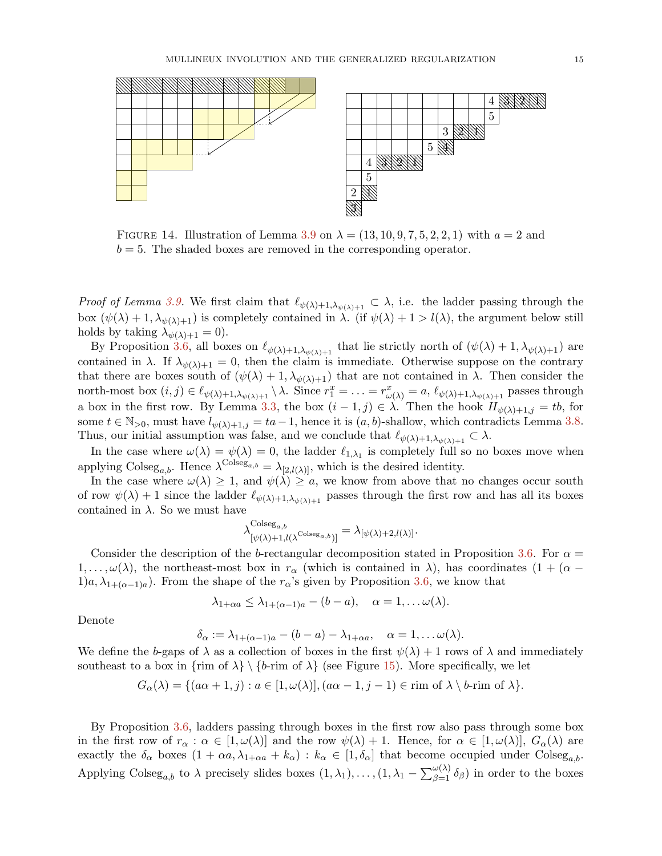<span id="page-14-0"></span>

FIGURE 14. Illustration of Lemma [3.9](#page-13-1) on  $\lambda = (13, 10, 9, 7, 5, 2, 2, 1)$  with  $a = 2$  and  $b = 5$ . The shaded boxes are removed in the corresponding operator.

*Proof of Lemma [3.9.](#page-13-1)* We first claim that  $\ell_{\psi(\lambda)+1,\lambda_{\psi(\lambda)+1}} \subset \lambda$ , i.e. the ladder passing through the box  $(\psi(\lambda) + 1, \lambda_{\psi(\lambda)+1})$  is completely contained in  $\lambda$ . (if  $\psi(\lambda) + 1 > l(\lambda)$ , the argument below still holds by taking  $\lambda_{\psi(\lambda)+1} = 0$ .

By Proposition [3.6,](#page-12-1) all boxes on  $\ell_{\psi(\lambda)+1,\lambda_{\psi(\lambda)+1}}$  that lie strictly north of  $(\psi(\lambda)+1,\lambda_{\psi(\lambda)+1})$  are contained in  $\lambda$ . If  $\lambda_{\psi(\lambda)+1} = 0$ , then the claim is immediate. Otherwise suppose on the contrary that there are boxes south of  $(\psi(\lambda) + 1, \lambda_{\psi(\lambda)+1})$  that are not contained in  $\lambda$ . Then consider the north-most box  $(i, j) \in \ell_{\psi(\lambda)+1, \lambda_{\psi(\lambda)+1}} \setminus \lambda$ . Since  $r_1^x = \ldots = r_{\omega(\lambda)}^x = a$ ,  $\ell_{\psi(\lambda)+1, \lambda_{\psi(\lambda)+1}}$  passes through a box in the first row. By Lemma [3.3,](#page-9-2) the box  $(i-1, j) \in \lambda$ . Then the hook  $H_{\psi(\lambda)+1,j} = tb$ , for some  $t \in \mathbb{N}_{>0}$ , must have  $l_{\psi(\lambda)+1,j} = ta-1$ , hence it is  $(a, b)$ -shallow, which contradicts Lemma [3.8.](#page-13-2) Thus, our initial assumption was false, and we conclude that  $\ell_{\psi(\lambda)+1,\lambda_{\psi(\lambda)+1}} \subset \lambda$ .

In the case where  $\omega(\lambda) = \psi(\lambda) = 0$ , the ladder  $\ell_{1,\lambda_1}$  is completely full so no boxes move when applying Colseg<sub>a,b</sub>. Hence  $\lambda^{\text{Colesg}_{a,b}} = \lambda_{[2,l(\lambda)]}$ , which is the desired identity.

In the case where  $\omega(\lambda) \geq 1$ , and  $\psi(\lambda) \geq a$ , we know from above that no changes occur south of row  $\psi(\lambda) + 1$  since the ladder  $\ell_{\psi(\lambda)+1,\lambda_{\psi(\lambda)+1}}$  passes through the first row and has all its boxes contained in  $\lambda$ . So we must have

$$
\lambda^{\mathrm{Colesg}_{a,b}}_{[\psi(\lambda)+1,l(\lambda^{\mathrm{Colesg}_{a,b}})]} = \lambda_{[\psi(\lambda)+2,l(\lambda)]}.
$$

Consider the description of the b-rectangular decomposition stated in Proposition [3.6.](#page-12-1) For  $\alpha =$  $1,\ldots,\omega(\lambda)$ , the northeast-most box in  $r_{\alpha}$  (which is contained in  $\lambda$ ), has coordinates  $(1 + (\alpha - \lambda))$  $1)a, \lambda_{1+(\alpha-1)a}$ . From the shape of the  $r_{\alpha}$ 's given by Proposition [3.6,](#page-12-1) we know that

$$
\lambda_{1+\alpha a} \leq \lambda_{1+(\alpha-1)a} - (b-a), \quad \alpha = 1, \ldots \omega(\lambda).
$$

Denote

$$
\delta_{\alpha} := \lambda_{1+(\alpha-1)a} - (b-a) - \lambda_{1+\alpha a}, \quad \alpha = 1, \ldots \omega(\lambda).
$$

We define the b-gaps of  $\lambda$  as a collection of boxes in the first  $\psi(\lambda) + 1$  rows of  $\lambda$  and immediately southeast to a box in  $\{\text{rim of } \lambda\} \setminus \{b\text{-rim of } \lambda\}$  (see Figure [15\)](#page-15-0). More specifically, we let

$$
G_{\alpha}(\lambda) = \{ (a\alpha + 1, j) : a \in [1, \omega(\lambda)], (a\alpha - 1, j - 1) \in \text{rim of } \lambda \setminus b\text{-rim of } \lambda \}.
$$

By Proposition [3.6,](#page-12-1) ladders passing through boxes in the first row also pass through some box in the first row of  $r_{\alpha}: \alpha \in [1, \omega(\lambda)]$  and the row  $\psi(\lambda) + 1$ . Hence, for  $\alpha \in [1, \omega(\lambda)]$ ,  $G_{\alpha}(\lambda)$  are exactly the  $\delta_{\alpha}$  boxes  $(1 + \alpha a, \lambda_{1+\alpha a} + k_{\alpha}) : k_{\alpha} \in [1, \delta_{\alpha}]$  that become occupied under Colseg<sub>a,b</sub>. Applying Colseg<sub>a,b</sub> to  $\lambda$  precisely slides boxes  $(1, \lambda_1), \ldots, (1, \lambda_1 - \sum_{\beta=1}^{\omega(\lambda)} \delta_{\beta})$  in order to the boxes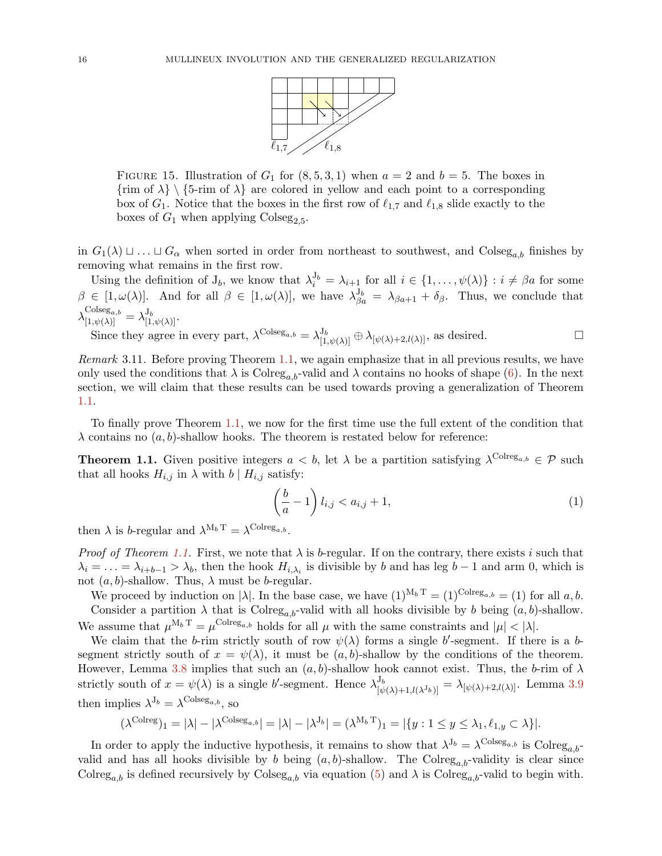

<span id="page-15-0"></span>FIGURE 15. Illustration of  $G_1$  for  $(8, 5, 3, 1)$  when  $a = 2$  and  $b = 5$ . The boxes in  $\{\text{rim of } \lambda\} \setminus \{5\text{-rim of } \lambda\}$  are colored in yellow and each point to a corresponding box of  $G_1$ . Notice that the boxes in the first row of  $\ell_{1,7}$  and  $\ell_{1,8}$  slide exactly to the boxes of  $G_1$  when applying Colseg<sub>2,5</sub>.

in  $G_1(\lambda) \sqcup \ldots \sqcup G_\alpha$  when sorted in order from northeast to southwest, and Colseg<sub>a,b</sub> finishes by removing what remains in the first row.

Using the definition of  $J_b$ , we know that  $\lambda_i^{J_b} = \lambda_{i+1}$  for all  $i \in \{1, ..., \psi(\lambda)\} : i \neq \beta a$  for some  $\beta \in [1, \omega(\lambda)].$  And for all  $\beta \in [1, \omega(\lambda)],$  we have  $\lambda_{\beta a}^{J_b} = \lambda_{\beta a+1} + \delta_{\beta}$ . Thus, we conclude that  $\lambda_{[1,\psi(\lambda)]}^{\text{Colesg}_{a,b}} = \lambda_{[1,\psi(\lambda)]}^{\text{J}_b}.$ 

Since they agree in every part,  $\lambda^{\text{Colesg}_{a,b}} = \lambda^{\text{J}_{b}}_{[1,\psi(\lambda)]} \oplus \lambda_{[\psi(\lambda)+2,l(\lambda)]}$ , as desired.

*Remark* 3.11*.* Before proving Theorem [1.1,](#page-1-1) we again emphasize that in all previous results, we have only used the conditions that  $\lambda$  is Colreg<sub>a,b</sub>-valid and  $\lambda$  contains no hooks of shape [\(6\)](#page-9-1). In the next section, we will claim that these results can be used towards proving a generalization of Theorem [1.1.](#page-1-1)

To finally prove Theorem [1.1,](#page-1-1) we now for the first time use the full extent of the condition that  $\lambda$  contains no  $(a, b)$ -shallow hooks. The theorem is restated below for reference:

**Theorem 1.1.** Given positive integers  $a < b$ , let  $\lambda$  be a partition satisfying  $\lambda^{\text{Colreg}_{a,b}} \in \mathcal{P}$  such that all hooks  $H_{i,j}$  in  $\lambda$  with  $b \mid H_{i,j}$  satisfy:

$$
\left(\frac{b}{a} - 1\right)l_{i,j} < a_{i,j} + 1,\tag{1}
$$

then  $\lambda$  is b-regular and  $\lambda^{M_b T} = \lambda^{\text{Colreg}_{a,b}}$ .

*Proof of Theorem [1.1.](#page-1-1)* First, we note that  $\lambda$  is b-regular. If on the contrary, there exists i such that  $\lambda_i = \ldots = \lambda_{i+b-1} > \lambda_b$ , then the hook  $H_{i,\lambda_i}$  is divisible by b and has leg b – 1 and arm 0, which is not  $(a, b)$ -shallow. Thus,  $\lambda$  must be *b*-regular.

We proceed by induction on  $|\lambda|$ . In the base case, we have  $(1)^{M_b T} = (1)^{\text{Colreg}_{a,b}} = (1)$  for all a, b. Consider a partition  $\lambda$  that is Colreg<sub>a,b</sub>-valid with all hooks divisible by b being  $(a, b)$ -shallow. We assume that  $\mu^{M_b T} = \mu^{\text{Colreg}_{a,b}}$  holds for all  $\mu$  with the same constraints and  $|\mu| < |\lambda|$ .

We claim that the b-rim strictly south of row  $\psi(\lambda)$  forms a single b'-segment. If there is a bsegment strictly south of  $x = \psi(\lambda)$ , it must be  $(a, b)$ -shallow by the conditions of the theorem. However, Lemma [3.8](#page-13-2) implies that such an  $(a, b)$ -shallow hook cannot exist. Thus, the b-rim of  $\lambda$ strictly south of  $x = \psi(\lambda)$  is a single b'-segment. Hence  $\lambda_{\lambda}^{J_b}$  $[\psi(\lambda)+1, l(\lambda^{J_b})] = \lambda_{[\psi(\lambda)+2, l(\lambda)]}$ . Lemma [3.9](#page-13-1) then implies  $\lambda^{J_b} = \lambda^{\text{Colseg}_{a,b}}$ , so

$$
(\lambda^{\text{Colreg}})_1 = |\lambda| - |\lambda^{\text{Colseg}_{a,b}}| = |\lambda| - |\lambda^{J_b}| = (\lambda^{M_b T})_1 = |\{y : 1 \le y \le \lambda_1, \ell_{1,y} \subset \lambda\}|.
$$

In order to apply the inductive hypothesis, it remains to show that  $\lambda^{J_b} = \lambda^{\text{Colseg}_{a,b}}$  is  $\text{Colreg}_{a,b}$ valid and has all hooks divisible by b being  $(a, b)$ -shallow. The Colreg<sub>a,b</sub>-validity is clear since Colreg<sub>a,b</sub> is defined recursively by Colseg<sub>a,b</sub> via equation [\(5\)](#page-6-0) and  $\lambda$  is Colreg<sub>a,b</sub>-valid to begin with.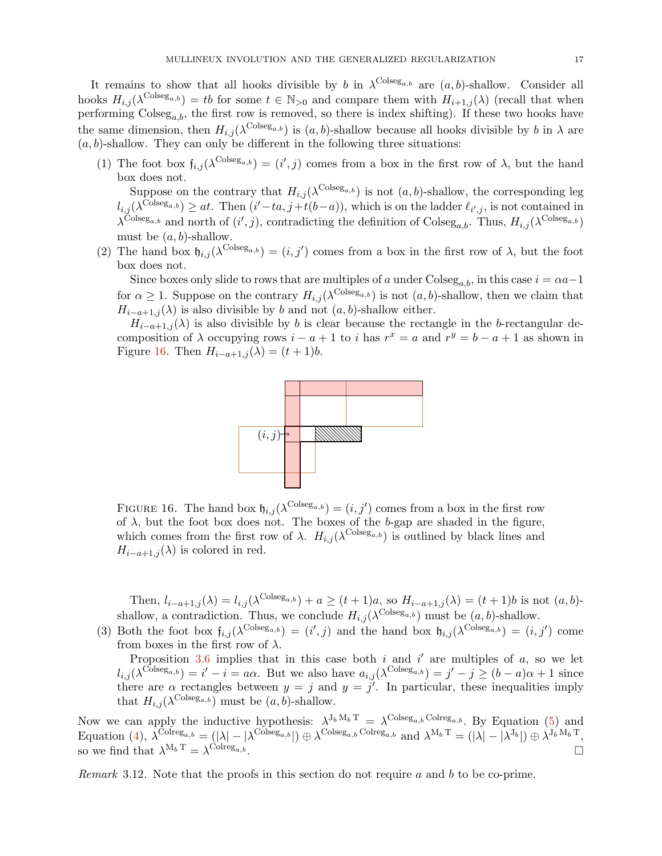It remains to show that all hooks divisible by b in  $\lambda^{\text{Colseg}_{a,b}}$  are  $(a, b)$ -shallow. Consider all hooks  $H_{i,j}(\lambda^{\text{Colesg}_{a,b}}) = tb$  for some  $t \in \mathbb{N}_{>0}$  and compare them with  $H_{i+1,j}(\lambda)$  (recall that when performing  $\text{Coles}_{a,b}$ , the first row is removed, so there is index shifting). If these two hooks have the same dimension, then  $H_{i,j}(\lambda^{\text{Colesg}_{a,b}})$  is  $(a, b)$ -shallow because all hooks divisible by b in  $\lambda$  are  $(a, b)$ -shallow. They can only be different in the following three situations:

(1) The foot box  $f_{i,j}(\lambda^{\text{Colesg}_{a,b}}) = (i',j)$  comes from a box in the first row of  $\lambda$ , but the hand box does not.

Suppose on the contrary that  $H_{i,j}(\lambda^{\text{Colesg}_{a,b}})$  is not  $(a, b)$ -shallow, the corresponding leg  $l_{i,j}(\lambda^{\text{Colesg}_{a,b}}) \geq at$ . Then  $(i'-ta, j+t(b-a))$ , which is on the ladder  $\ell_{i',j}$ , is not contained in  $\lambda^{\text{Colseg}_{a,b}}$  and north of  $(i', j)$ , contradicting the definition of  $\text{Colseg}_{a,b}$ . Thus,  $H_{i,j}(\lambda^{\text{Colseg}_{a,b}})$ must be  $(a, b)$ -shallow.

(2) The hand box  $\mathfrak{h}_{i,j}(\lambda^{\text{Colseg}_{a,b}}) = (i,j')$  comes from a box in the first row of  $\lambda$ , but the foot box does not.

Since boxes only slide to rows that are multiples of a under Colseg<sub>a,b</sub>, in this case  $i = \alpha a - 1$ for  $\alpha \geq 1$ . Suppose on the contrary  $H_{i,j}(\lambda^{\text{Colesg}_{a,b}})$  is not  $(a, b)$ -shallow, then we claim that  $H_{i-a+1,j}(\lambda)$  is also divisible by b and not  $(a, b)$ -shallow either.

<span id="page-16-0"></span> $H_{i-a+1,j}(\lambda)$  is also divisible by b is clear because the rectangle in the b-rectangular decomposition of  $\lambda$  occupying rows  $i - a + 1$  to i has  $r^x = a$  and  $r^y = b - a + 1$  as shown in Figure [16.](#page-16-0) Then  $H_{i-a+1,j}(\lambda) = (t+1)b$ .



FIGURE 16. The hand box  $\mathfrak{h}_{i,j}(\lambda^{\text{Colseg}_{a,b}}) = (i,j')$  comes from a box in the first row of  $\lambda$ , but the foot box does not. The boxes of the b-gap are shaded in the figure, which comes from the first row of  $\lambda$ .  $H_{i,j}(\lambda^{\text{Colesg}_{a,b}})$  is outlined by black lines and  $H_{i-a+1,j}(\lambda)$  is colored in red.

Then,  $l_{i-a+1,j}(\lambda) = l_{i,j}(\lambda^{\text{Colseg}_{a,b}}) + a \ge (t+1)a$ , so  $H_{i-a+1,j}(\lambda) = (t+1)b$  is not  $(a,b)$ shallow, a contradiction. Thus, we conclude  $H_{i,j}(\lambda^{\text{Colseg}_{a,b}})$  must be  $(a, b)$ -shallow.

(3) Both the foot box  $f_{i,j}(\lambda^{\text{Colesg}_{a,b}}) = (i',j)$  and the hand box  $f_{i,j}(\lambda^{\text{Colesg}_{a,b}}) = (i,j')$  come from boxes in the first row of  $\lambda$ .

Proposition [3.6](#page-12-1) implies that in this case both  $i$  and  $i'$  are multiples of  $a$ , so we let  $l_{i,j}(\lambda^{\text{Colseg}_{a,b}}) = i' - i = a\alpha$ . But we also have  $a_{i,j}(\lambda^{\text{Colseg}_{a,b}}) = j' - j \ge (b - a)\alpha + 1$  since there are  $\alpha$  rectangles between  $y = j$  and  $y = j'$ . In particular, these inequalities imply that  $H_{i,j}(\lambda^{\text{Colseg}_{a,b}})$  must be  $(a, b)$ -shallow.

Now we can apply the inductive hypothesis:  $\lambda^{J_b M_b T} = \lambda^{Colseg_{a,b} \text{Colreg}_{a,b}}$ . By Equation [\(5\)](#page-6-0) and Equation [\(4\)](#page-3-3),  $\lambda^{\text{Colreg}_{a,b}} = (|\lambda| - |\lambda^{\text{Colseg}_{a,b}}|) \oplus \lambda^{\text{Colseg}_{a,b} \text{Colreg}_{a,b}}$  and  $\lambda^{M_b T} = (|\lambda| - |\lambda^{J_b}|) \oplus \lambda^{J_b M_b T}$ , so we find that  $\lambda^{M_b T} = \lambda^{\text{Colreg}_{a,b}}$ .

*Remark* 3.12*.* Note that the proofs in this section do not require a and b to be co-prime.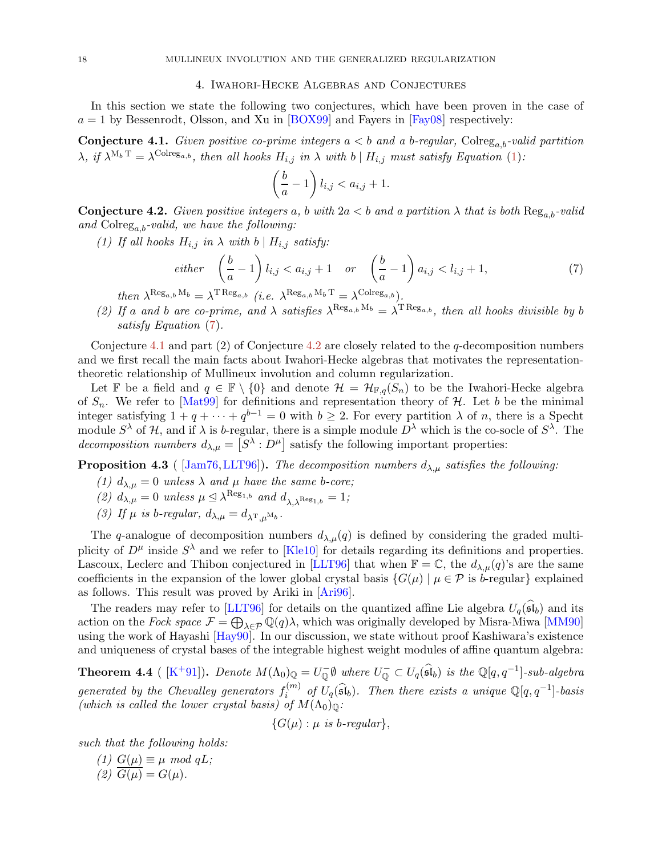### 4. Iwahori-Hecke Algebras and Conjectures

<span id="page-17-2"></span><span id="page-17-0"></span>In this section we state the following two conjectures, which have been proven in the case of  $a = 1$  by Bessenrodt, Olsson, and Xu in [\[BOX99\]](#page-19-7) and Fayers in [\[Fay08\]](#page-19-8) respectively:

**Conjecture 4.1.** Given positive co-prime integers  $a < b$  and a b-regular, Colreg<sub>a,b</sub>-valid partition  $\lambda$ , if  $\lambda^{M_b T} = \lambda^{Colreg_{a,b}}$ , then all hooks  $H_{i,j}$  in  $\lambda$  with  $b \mid H_{i,j}$  must satisfy Equation [\(1\)](#page-1-0):

$$
\left(\frac{b}{a} - 1\right) l_{i,j} < a_{i,j} + 1.
$$

<span id="page-17-3"></span>**Conjecture 4.2.** *Given positive integers* a, b with  $2a < b$  and a partition  $\lambda$  that is both  $\text{Reg}_{a,b}$ -valid *and* Colrega,b*-valid, we have the following:*

*(1) If all hooks*  $H_{i,j}$  *in*  $\lambda$  *with*  $b \mid H_{i,j}$  *satisfy:* 

<span id="page-17-1"></span>
$$
either \quad \left(\frac{b}{a} - 1\right)l_{i,j} < a_{i,j} + 1 \quad or \quad \left(\frac{b}{a} - 1\right)a_{i,j} < l_{i,j} + 1,\tag{7}
$$

 $then \ \lambda^{\text{Reg}_{a,b} \ M_b} = \lambda^{\text{T Reg}_{a,b}} \ (i.e. \ \lambda^{\text{Reg}_{a,b} \ M_b \ T} = \lambda^{\text{Colreg}_{a,b}}).$ 

(2) If a and b are co-prime, and  $\lambda$  satisfies  $\lambda^{\text{Reg}_{a,b}M_b} = \lambda^{\text{TReg}_{a,b}}$ , then all hooks divisible by b *satisfy Equation* [\(7\)](#page-17-1)*.*

Conjecture [4.1](#page-17-2) and part (2) of Conjecture [4.2](#page-17-3) are closely related to the q-decomposition numbers and we first recall the main facts about Iwahori-Hecke algebras that motivates the representationtheoretic relationship of Mullineux involution and column regularization.

Let F be a field and  $q \in \mathbb{F} \setminus \{0\}$  and denote  $\mathcal{H} = \mathcal{H}_{\mathbb{F},q}(S_n)$  to be the Iwahori-Hecke algebra of  $S_n$ . We refer to [\[Mat99\]](#page-19-11) for definitions and representation theory of  $H$ . Let b be the minimal integer satisfying  $1 + q + \cdots + q^{b-1} = 0$  with  $b \geq 2$ . For every partition  $\lambda$  of n, there is a Specht module  $S^{\lambda}$  of H, and if  $\lambda$  is b-regular, there is a simple module  $D^{\lambda}$  which is the co-socle of  $S^{\lambda}$ . The *decomposition numbers*  $d_{\lambda,\mu} = \left[ S^{\lambda} : D^{\mu} \right]$  satisfy the following important properties:

**Proposition 4.3** (  $[\text{Jam76}, \text{LLT96}]$ ). *The decomposition numbers*  $d_{\lambda,\mu}$  *satisfies the following:* 

- *(1)*  $d_{\lambda,\mu} = 0$  *unless*  $\lambda$  *and*  $\mu$  *have the same b-core;*
- (2)  $d_{\lambda,\mu} = 0$  *unless*  $\mu \leq \lambda^{\text{Reg}_{1,b}}$  *and*  $d_{\lambda,\lambda^{\text{Reg}_{1,b}}} = 1$ *;*
- (3) If  $\mu$  *is* b-regular,  $d_{\lambda,\mu} = d_{\lambda^{\mathrm{T}},\mu^{\mathrm{M}}b}$ .

The q-analogue of decomposition numbers  $d_{\lambda,\mu}(q)$  is defined by considering the graded multiplicity of  $D^{\mu}$  inside  $S^{\lambda}$  and we refer to [\[Kle10\]](#page-19-12) for details regarding its definitions and properties. Lascoux, Leclerc and Thibon conjectured in [\[LLT96\]](#page-19-4) that when  $\mathbb{F} = \mathbb{C}$ , the  $d_{\lambda,\mu}(q)$ 's are the same coefficients in the expansion of the lower global crystal basis  $\{G(\mu) \mid \mu \in \mathcal{P}$  is b-regular} explained as follows. This result was proved by Ariki in [\[Ari96\]](#page-19-13).

The readers may refer to [\[LLT96\]](#page-19-4) for details on the quantized affine Lie algebra  $U_q(\mathfrak{sl}_b)$  and its action on the *Fock space*  $\mathcal{F} = \bigoplus_{\lambda \in \mathcal{P}} \mathbb{Q}(q) \lambda$ , which was originally developed by Misra-Miwa [\[MM90\]](#page-19-14) using the work of Hayashi [\[Hay90\]](#page-19-15). In our discussion, we state without proof Kashiwara's existence and uniqueness of crystal bases of the integrable highest weight modules of affine quantum algebra:

**Theorem 4.4** ([K<sup>+</sup>[91\]](#page-19-16)). *Denote*  $M(\Lambda_0)_{\mathbb{Q}} = U_{\mathbb{Q}}^ \mathbb{Z}_{\mathbb{Q}}^{\mathbb{Z}} \oplus \mathbb{W}$  where  $U_{\mathbb{Q}}^{\mathbb{Z}} \subset U_q(\widehat{\mathfrak{sl}}_b)$  is the  $\mathbb{Q}[q,q^{-1}]$ -sub-algebra generated by the Chevalley generators  $f_i^{(m)}$  $\sum_{i}^{(m)}$  of  $U_q(\widehat{\mathfrak{sl}}_b)$ *. Then there exists a unique*  $\mathbb{Q}[q, q^{-1}]$ -basis *(which is called the lower crystal basis) of*  $M(\Lambda_0)_{\mathbb{Q}}$ :

 ${G(\mu):\mu \text{ is } b\text{-}regular}.$ 

*such that the following holds:*

 $(1)$  *G*( $\mu$ ) ≡  $\mu$  *mod qL*;  $(2)$   $\overline{G(u)} = G(u)$ .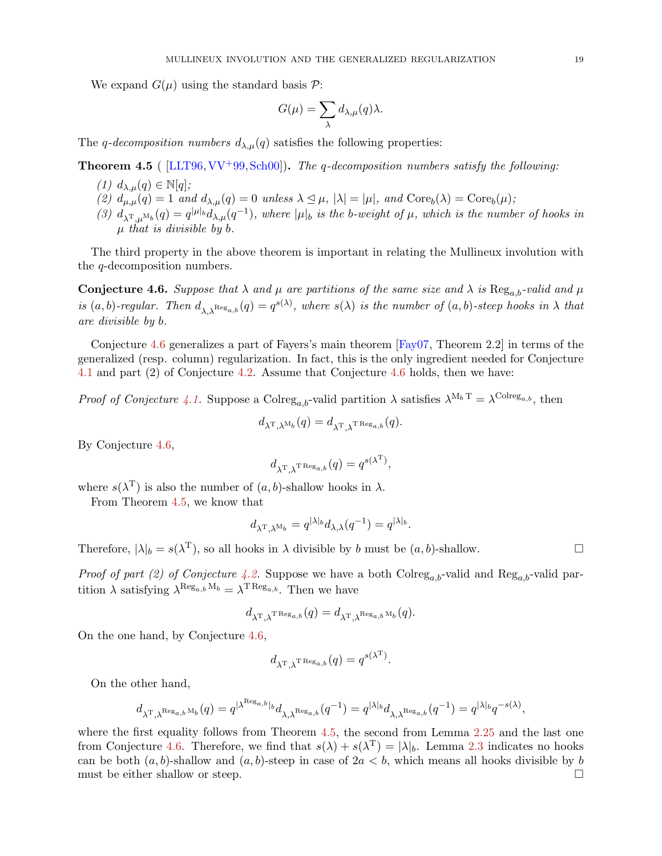We expand  $G(\mu)$  using the standard basis  $\mathcal{P}$ :

$$
G(\mu) = \sum_{\lambda} d_{\lambda,\mu}(q) \lambda.
$$

<span id="page-18-1"></span>The q-decomposition numbers  $d_{\lambda,\mu}(q)$  satisfies the following properties:

Theorem 4.5 ( [\[LLT96,](#page-19-4)[VV](#page-19-17)+99,[Sch00\]](#page-19-18)). *The* q*-decomposition numbers satisfy the following:*

- *(1)*  $d_{\lambda,\mu}(q) \in \mathbb{N}[q];$
- (2)  $d_{\mu,\mu}(q) = 1$  *and*  $d_{\lambda,\mu}(q) = 0$  *unless*  $\lambda \leq \mu$ ,  $|\lambda| = |\mu|$ *, and*  $\text{Core}_b(\lambda) = \text{Core}_b(\mu)$ *;*
- (3)  $d_{\lambda^{\mathrm{T}},\mu^{\mathrm{M}_{b}}}(q) = q^{|\mu|_{b}} d_{\lambda,\mu}(q^{-1}),$  where  $|\mu|_{b}$  is the b-weight of  $\mu$ , which is the number of hooks in µ *that is divisible by* b*.*

<span id="page-18-0"></span>The third property in the above theorem is important in relating the Mullineux involution with the q-decomposition numbers.

**Conjecture 4.6.** Suppose that  $\lambda$  and  $\mu$  are partitions of the same size and  $\lambda$  is  $\text{Reg}_{a,b}$ -valid and  $\mu$ *is*  $(a, b)$ -regular. Then  $d_{\lambda, \lambda^{\text{Reg}_{a,b}}}(q) = q^{s(\lambda)}$ , where  $s(\lambda)$  *is the number of*  $(a, b)$ -steep hooks in  $\lambda$  *that are divisible by* b*.*

Conjecture [4.6](#page-18-0) generalizes a part of Fayers's main theorem [\[Fay07,](#page-19-19) Theorem 2.2] in terms of the generalized (resp. column) regularization. In fact, this is the only ingredient needed for Conjecture [4.1](#page-17-2) and part (2) of Conjecture [4.2.](#page-17-3) Assume that Conjecture [4.6](#page-18-0) holds, then we have:

*Proof of Conjecture* [4.1.](#page-17-2) Suppose a Colreg<sub>a,b</sub>-valid partition  $\lambda$  satisfies  $\lambda^{M_b T} = \lambda^{Colve_{a,b}}$ , then

$$
d_{\lambda^{\rm T},\lambda^{\rm M} b}(q)=d_{\lambda^{\rm T},\lambda^{\rm T\, Reg}_{a,b}}(q).
$$

By Conjecture [4.6,](#page-18-0)

$$
d_{\lambda^{\mathrm{T}},\lambda^{\mathrm{T\operatorname{Reg}}_{a,b}}}(q)=q^{s(\lambda^{\mathrm{T}})},
$$

where  $s(\lambda^{\mathrm{T}})$  is also the number of  $(a, b)$ -shallow hooks in  $\lambda$ .

From Theorem [4.5,](#page-18-1) we know that

$$
d_{\lambda^{\mathrm{T}},\lambda^{\mathrm{M}} b} = q^{|\lambda|_b} d_{\lambda,\lambda}(q^{-1}) = q^{|\lambda|_b}
$$

.

Therefore,  $|\lambda|_b = s(\lambda^T)$ , so all hooks in  $\lambda$  divisible by b must be  $(a, b)$ -shallow.

*Proof of part (2) of Conjecture [4.2.](#page-17-3)* Suppose we have a both  $\text{Colreg}_{a,b}$ -valid and  $\text{Reg}_{a,b}$ -valid partition  $\lambda$  satisfying  $\lambda^{\text{Reg}_{a,b} M_b} = \lambda^{\text{T Reg}_{a,b}}$ . Then we have

$$
d_{\lambda^{\rm T},\lambda^{\rm T\, Reg}_{a,b}}(q)=d_{\lambda^{\rm T},\lambda^{\rm Reg}_{a,b}\rm M}_{b}(q).
$$

On the one hand, by Conjecture [4.6,](#page-18-0)

$$
d_{\lambda^{\rm T},\lambda^{\rm T\, Reg}_{a,b}}(q)=q^{s(\lambda^{\rm T})}.
$$

On the other hand,

$$
d_{\lambda^{\mathrm{T}},\lambda^{\mathrm{Reg}_{a,b}\,\mathrm{M}_b}}(q) = q^{|\lambda^{\mathrm{Reg}_{a,b}}|_b}d_{\lambda,\lambda^{\mathrm{Reg}_{a,b}}}(q^{-1}) = q^{|\lambda|_b}d_{\lambda,\lambda^{\mathrm{Reg}_{a,b}}}(q^{-1}) = q^{|\lambda|_b}q^{-s(\lambda)},
$$

where the first equality follows from Theorem [4.5,](#page-18-1) the second from Lemma [2.25](#page-7-4) and the last one from Conjecture [4.6.](#page-18-0) Therefore, we find that  $s(\lambda) + s(\lambda^{\mathrm{T}}) = |\lambda|_b$ . Lemma [2.3](#page-2-1) indicates no hooks can be both  $(a, b)$ -shallow and  $(a, b)$ -steep in case of  $2a < b$ , which means all hooks divisible by b must be either shallow or steep.  $\Box$